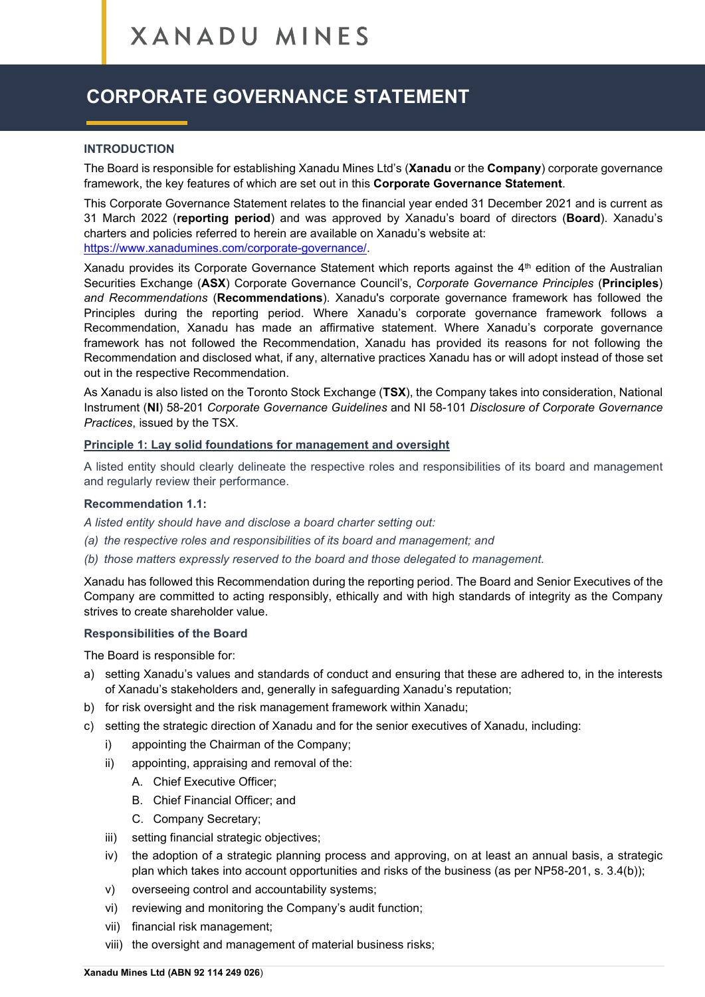# **CORPORATE GOVERNANCE STATEMENT**

#### **INTRODUCTION**

The Board is responsible for establishing Xanadu Mines Ltd's (**Xanadu** or the **Company**) corporate governance framework, the key features of which are set out in this **Corporate Governance Statement**.

This Corporate Governance Statement relates to the financial year ended 31 December 2021 and is current as 31 March 2022 (**reporting period**) and was approved by Xanadu's board of directors (**Board**). Xanadu's charters and policies referred to herein are available on Xanadu's website at:

[https://www.xanadumines.com/corporate-governance/.](https://www.xanadumines.com/corporate-governance/)

Xanadu provides its Corporate Governance Statement which reports against the  $4<sup>th</sup>$  edition of the Australian Securities Exchange (**ASX**) Corporate Governance Council's, *Corporate Governance Principles* (**Principles**) *and Recommendations* (**Recommendations**). Xanadu's corporate governance framework has followed the Principles during the reporting period. Where Xanadu's corporate governance framework follows a Recommendation, Xanadu has made an affirmative statement. Where Xanadu's corporate governance framework has not followed the Recommendation, Xanadu has provided its reasons for not following the Recommendation and disclosed what, if any, alternative practices Xanadu has or will adopt instead of those set out in the respective Recommendation.

As Xanadu is also listed on the Toronto Stock Exchange (**TSX**), the Company takes into consideration, National Instrument (**NI**) 58-201 *Corporate Governance Guidelines* and NI 58-101 *Disclosure of Corporate Governance Practices*, issued by the TSX.

#### **Principle 1: Lay solid foundations for management and oversight**

A listed entity should clearly delineate the respective roles and responsibilities of its board and management and regularly review their performance.

## **Recommendation 1.1:**

*A listed entity should have and disclose a board charter setting out:*

- *(a) the respective roles and responsibilities of its board and management; and*
- *(b) those matters expressly reserved to the board and those delegated to management.*

Xanadu has followed this Recommendation during the reporting period. The Board and Senior Executives of the Company are committed to acting responsibly, ethically and with high standards of integrity as the Company strives to create shareholder value.

#### **Responsibilities of the Board**

The Board is responsible for:

- a) setting Xanadu's values and standards of conduct and ensuring that these are adhered to, in the interests of Xanadu's stakeholders and, generally in safeguarding Xanadu's reputation;
- b) for risk oversight and the risk management framework within Xanadu;
- c) setting the strategic direction of Xanadu and for the senior executives of Xanadu, including:
	- i) appointing the Chairman of the Company;
	- ii) appointing, appraising and removal of the:
		- A. Chief Executive Officer;
		- B. Chief Financial Officer; and
		- C. Company Secretary;
	- iii) setting financial strategic objectives;
	- iv) the adoption of a strategic planning process and approving, on at least an annual basis, a strategic plan which takes into account opportunities and risks of the business (as per NP58-201, s. 3.4(b));
	- v) overseeing control and accountability systems;
	- vi) reviewing and monitoring the Company's audit function;
	- vii) financial risk management;
	- viii) the oversight and management of material business risks;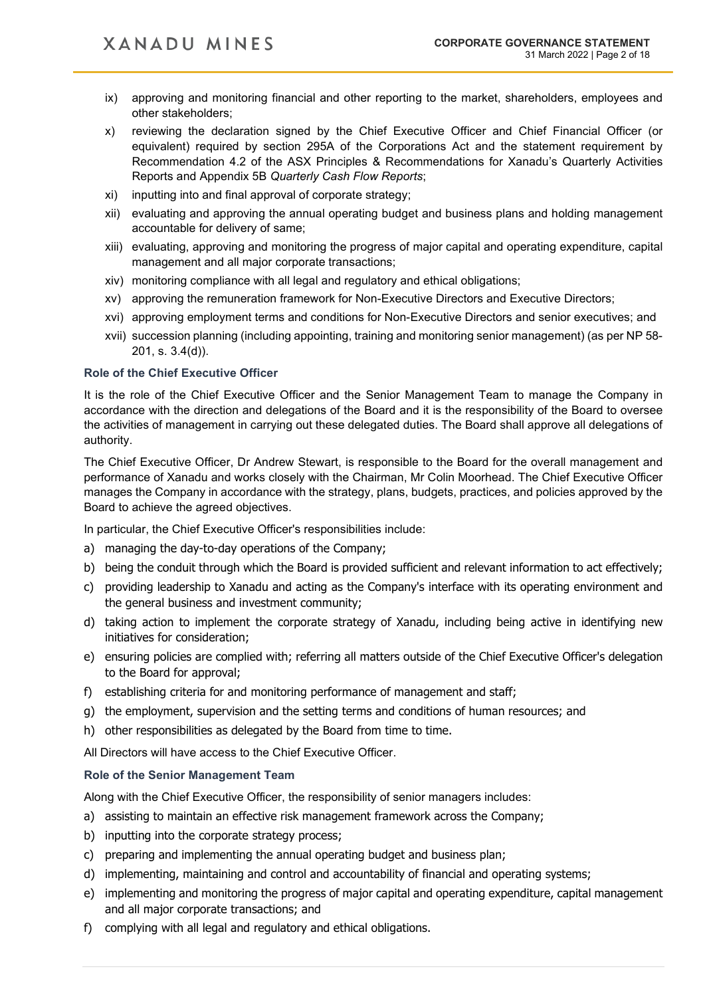- ix) approving and monitoring financial and other reporting to the market, shareholders, employees and other stakeholders;
- x) reviewing the declaration signed by the Chief Executive Officer and Chief Financial Officer (or equivalent) required by section 295A of the Corporations Act and the statement requirement by Recommendation 4.2 of the ASX Principles & Recommendations for Xanadu's Quarterly Activities Reports and Appendix 5B *Quarterly Cash Flow Reports*;
- xi) inputting into and final approval of corporate strategy;
- xii) evaluating and approving the annual operating budget and business plans and holding management accountable for delivery of same;
- xiii) evaluating, approving and monitoring the progress of major capital and operating expenditure, capital management and all major corporate transactions;
- xiv) monitoring compliance with all legal and regulatory and ethical obligations;
- xv) approving the remuneration framework for Non-Executive Directors and Executive Directors;
- xvi) approving employment terms and conditions for Non-Executive Directors and senior executives; and
- xvii) succession planning (including appointing, training and monitoring senior management) (as per NP 58- 201, s. 3.4(d)).

#### **Role of the Chief Executive Officer**

It is the role of the Chief Executive Officer and the Senior Management Team to manage the Company in accordance with the direction and delegations of the Board and it is the responsibility of the Board to oversee the activities of management in carrying out these delegated duties. The Board shall approve all delegations of authority.

The Chief Executive Officer, Dr Andrew Stewart, is responsible to the Board for the overall management and performance of Xanadu and works closely with the Chairman, Mr Colin Moorhead. The Chief Executive Officer manages the Company in accordance with the strategy, plans, budgets, practices, and policies approved by the Board to achieve the agreed objectives.

In particular, the Chief Executive Officer's responsibilities include:

- a) managing the day-to-day operations of the Company;
- b) being the conduit through which the Board is provided sufficient and relevant information to act effectively;
- c) providing leadership to Xanadu and acting as the Company's interface with its operating environment and the general business and investment community;
- d) taking action to implement the corporate strategy of Xanadu, including being active in identifying new initiatives for consideration;
- e) ensuring policies are complied with; referring all matters outside of the Chief Executive Officer's delegation to the Board for approval;
- f) establishing criteria for and monitoring performance of management and staff;
- g) the employment, supervision and the setting terms and conditions of human resources; and
- h) other responsibilities as delegated by the Board from time to time.

All Directors will have access to the Chief Executive Officer.

### **Role of the Senior Management Team**

Along with the Chief Executive Officer, the responsibility of senior managers includes:

- a) assisting to maintain an effective risk management framework across the Company;
- b) inputting into the corporate strategy process;
- c) preparing and implementing the annual operating budget and business plan;
- d) implementing, maintaining and control and accountability of financial and operating systems;
- e) implementing and monitoring the progress of major capital and operating expenditure, capital management and all major corporate transactions; and
- f) complying with all legal and regulatory and ethical obligations.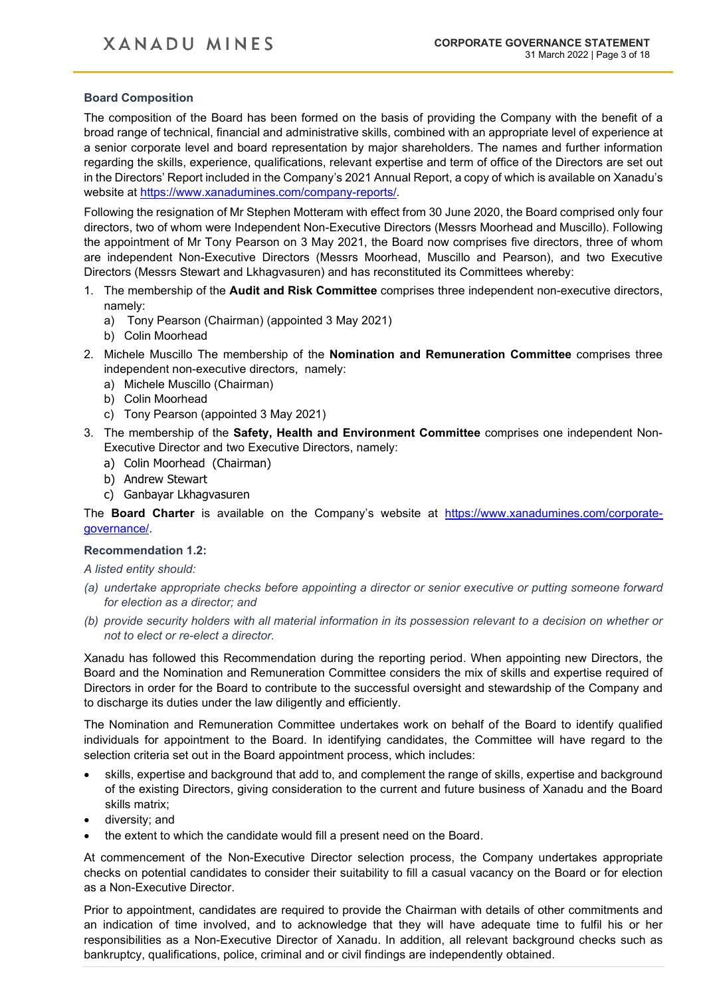## **Board Composition**

The composition of the Board has been formed on the basis of providing the Company with the benefit of a broad range of technical, financial and administrative skills, combined with an appropriate level of experience at a senior corporate level and board representation by major shareholders. The names and further information regarding the skills, experience, qualifications, relevant expertise and term of office of the Directors are set out in the Directors' Report included in the Company's 2021 Annual Report, a copy of which is available on Xanadu's website at [https://www.xanadumines.com/company-reports/.](https://www.xanadumines.com/company-reports/)

Following the resignation of Mr Stephen Motteram with effect from 30 June 2020, the Board comprised only four directors, two of whom were Independent Non-Executive Directors (Messrs Moorhead and Muscillo). Following the appointment of Mr Tony Pearson on 3 May 2021, the Board now comprises five directors, three of whom are independent Non-Executive Directors (Messrs Moorhead, Muscillo and Pearson), and two Executive Directors (Messrs Stewart and Lkhagvasuren) and has reconstituted its Committees whereby:

- 1. The membership of the **Audit and Risk Committee** comprises three independent non-executive directors, namely:
	- a) Tony Pearson (Chairman) (appointed 3 May 2021)
	- b) Colin Moorhead
- 2. Michele Muscillo The membership of the **Nomination and Remuneration Committee** comprises three independent non-executive directors, namely:
	- a) Michele Muscillo (Chairman)
	- b) Colin Moorhead
	- c) Tony Pearson (appointed 3 May 2021)
- 3. The membership of the **Safety, Health and Environment Committee** comprises one independent Non-Executive Director and two Executive Directors, namely:
	- a) Colin Moorhead (Chairman)
	- b) Andrew Stewart
	- c) Ganbayar Lkhagvasuren

The **Board Charter** is available on the Company's website at [https://www.xanadumines.com/corporate](https://www.xanadumines.com/corporate-governance/)[governance/.](https://www.xanadumines.com/corporate-governance/)

#### **Recommendation 1.2:**

*A listed entity should:*

- *(a) undertake appropriate checks before appointing a director or senior executive or putting someone forward for election as a director; and*
- *(b) provide security holders with all material information in its possession relevant to a decision on whether or not to elect or re-elect a director.*

Xanadu has followed this Recommendation during the reporting period. When appointing new Directors, the Board and the Nomination and Remuneration Committee considers the mix of skills and expertise required of Directors in order for the Board to contribute to the successful oversight and stewardship of the Company and to discharge its duties under the law diligently and efficiently.

The Nomination and Remuneration Committee undertakes work on behalf of the Board to identify qualified individuals for appointment to the Board. In identifying candidates, the Committee will have regard to the selection criteria set out in the Board appointment process, which includes:

- skills, expertise and background that add to, and complement the range of skills, expertise and background of the existing Directors, giving consideration to the current and future business of Xanadu and the Board skills matrix;
- diversity; and
- the extent to which the candidate would fill a present need on the Board.

At commencement of the Non-Executive Director selection process, the Company undertakes appropriate checks on potential candidates to consider their suitability to fill a casual vacancy on the Board or for election as a Non-Executive Director.

Prior to appointment, candidates are required to provide the Chairman with details of other commitments and an indication of time involved, and to acknowledge that they will have adequate time to fulfil his or her responsibilities as a Non-Executive Director of Xanadu. In addition, all relevant background checks such as bankruptcy, qualifications, police, criminal and or civil findings are independently obtained.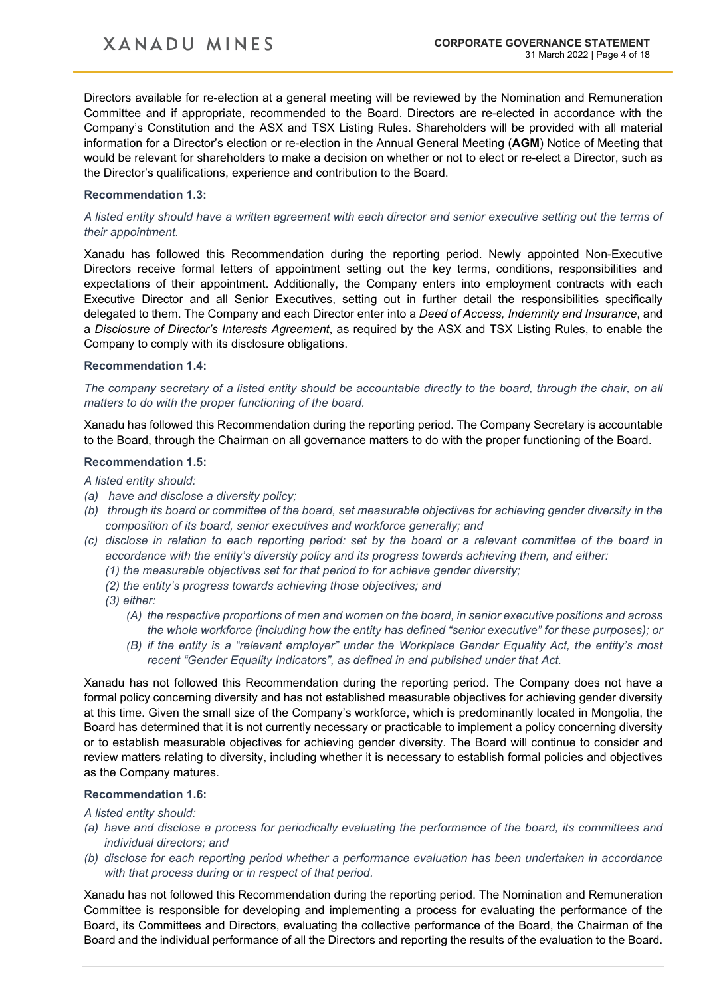## **XANADU MINES**

Directors available for re-election at a general meeting will be reviewed by the Nomination and Remuneration Committee and if appropriate, recommended to the Board. Directors are re-elected in accordance with the Company's Constitution and the ASX and TSX Listing Rules. Shareholders will be provided with all material information for a Director's election or re-election in the Annual General Meeting (**AGM**) Notice of Meeting that would be relevant for shareholders to make a decision on whether or not to elect or re-elect a Director, such as the Director's qualifications, experience and contribution to the Board.

### **Recommendation 1.3:**

*A listed entity should have a written agreement with each director and senior executive setting out the terms of their appointment.*

Xanadu has followed this Recommendation during the reporting period. Newly appointed Non-Executive Directors receive formal letters of appointment setting out the key terms, conditions, responsibilities and expectations of their appointment. Additionally, the Company enters into employment contracts with each Executive Director and all Senior Executives, setting out in further detail the responsibilities specifically delegated to them. The Company and each Director enter into a *Deed of Access, Indemnity and Insurance*, and a *Disclosure of Director's Interests Agreement*, as required by the ASX and TSX Listing Rules, to enable the Company to comply with its disclosure obligations.

#### **Recommendation 1.4:**

*The company secretary of a listed entity should be accountable directly to the board, through the chair, on all matters to do with the proper functioning of the board.*

Xanadu has followed this Recommendation during the reporting period. The Company Secretary is accountable to the Board, through the Chairman on all governance matters to do with the proper functioning of the Board.

## **Recommendation 1.5:**

*A listed entity should:*

- *(a) have and disclose a diversity policy;*
- *(b) through its board or committee of the board, set measurable objectives for achieving gender diversity in the composition of its board, senior executives and workforce generally; and*
- *(c) disclose in relation to each reporting period: set by the board or a relevant committee of the board in accordance with the entity's diversity policy and its progress towards achieving them, and either:* 
	- *(1) the measurable objectives set for that period to for achieve gender diversity;*
	- *(2) the entity's progress towards achieving those objectives; and*
	- *(3) either:*
		- *(A) the respective proportions of men and women on the board, in senior executive positions and across the whole workforce (including how the entity has defined "senior executive" for these purposes); or*
		- *(B) if the entity is a "relevant employer" under the Workplace Gender Equality Act, the entity's most recent "Gender Equality Indicators", as defined in and published under that Act.*

Xanadu has not followed this Recommendation during the reporting period. The Company does not have a formal policy concerning diversity and has not established measurable objectives for achieving gender diversity at this time. Given the small size of the Company's workforce, which is predominantly located in Mongolia, the Board has determined that it is not currently necessary or practicable to implement a policy concerning diversity or to establish measurable objectives for achieving gender diversity. The Board will continue to consider and review matters relating to diversity, including whether it is necessary to establish formal policies and objectives as the Company matures.

#### **Recommendation 1.6:**

*A listed entity should:*

- *(a) have and disclose a process for periodically evaluating the performance of the board, its committees and individual directors; and*
- *(b) disclose for each reporting period whether a performance evaluation has been undertaken in accordance with that process during or in respect of that period.*

Xanadu has not followed this Recommendation during the reporting period. The Nomination and Remuneration Committee is responsible for developing and implementing a process for evaluating the performance of the Board, its Committees and Directors, evaluating the collective performance of the Board, the Chairman of the Board and the individual performance of all the Directors and reporting the results of the evaluation to the Board.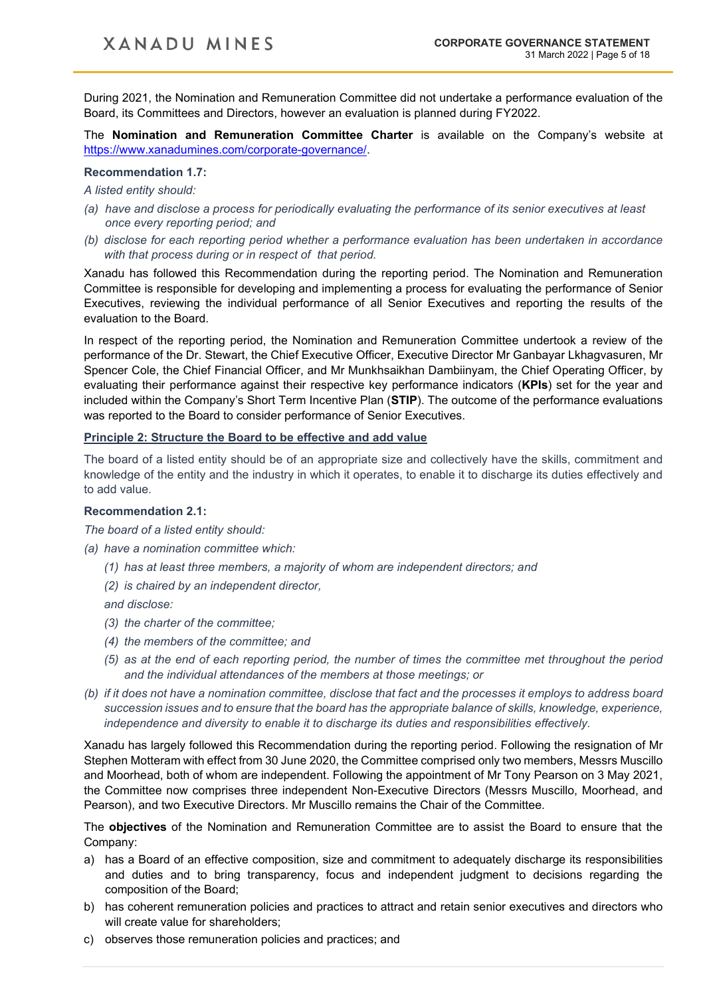During 2021, the Nomination and Remuneration Committee did not undertake a performance evaluation of the Board, its Committees and Directors, however an evaluation is planned during FY2022.

The **Nomination and Remuneration Committee Charter** is available on the Company's website at [https://www.xanadumines.com/corporate-governance/.](https://www.xanadumines.com/corporate-governance/)

#### **Recommendation 1.7:**

### *A listed entity should:*

- *(a) have and disclose a process for periodically evaluating the performance of its senior executives at least once every reporting period; and*
- *(b) disclose for each reporting period whether a performance evaluation has been undertaken in accordance with that process during or in respect of that period.*

Xanadu has followed this Recommendation during the reporting period. The Nomination and Remuneration Committee is responsible for developing and implementing a process for evaluating the performance of Senior Executives, reviewing the individual performance of all Senior Executives and reporting the results of the evaluation to the Board.

In respect of the reporting period, the Nomination and Remuneration Committee undertook a review of the performance of the Dr. Stewart, the Chief Executive Officer, Executive Director Mr Ganbayar Lkhagvasuren, Mr Spencer Cole, the Chief Financial Officer, and Mr Munkhsaikhan Dambiinyam, the Chief Operating Officer, by evaluating their performance against their respective key performance indicators (**KPIs**) set for the year and included within the Company's Short Term Incentive Plan (**STIP**). The outcome of the performance evaluations was reported to the Board to consider performance of Senior Executives.

## **Principle 2: Structure the Board to be effective and add value**

The board of a listed entity should be of an appropriate size and collectively have the skills, commitment and knowledge of the entity and the industry in which it operates, to enable it to discharge its duties effectively and to add value.

## **Recommendation 2.1:**

*The board of a listed entity should:*

- *(a) have a nomination committee which:* 
	- *(1) has at least three members, a majority of whom are independent directors; and*
	- *(2) is chaired by an independent director,*

*and disclose:* 

- *(3) the charter of the committee;*
- *(4) the members of the committee; and*
- *(5) as at the end of each reporting period, the number of times the committee met throughout the period and the individual attendances of the members at those meetings; or*
- *(b) if it does not have a nomination committee, disclose that fact and the processes it employs to address board succession issues and to ensure that the board has the appropriate balance of skills, knowledge, experience, independence and diversity to enable it to discharge its duties and responsibilities effectively.*

Xanadu has largely followed this Recommendation during the reporting period. Following the resignation of Mr Stephen Motteram with effect from 30 June 2020, the Committee comprised only two members, Messrs Muscillo and Moorhead, both of whom are independent. Following the appointment of Mr Tony Pearson on 3 May 2021, the Committee now comprises three independent Non-Executive Directors (Messrs Muscillo, Moorhead, and Pearson), and two Executive Directors. Mr Muscillo remains the Chair of the Committee.

The **objectives** of the Nomination and Remuneration Committee are to assist the Board to ensure that the Company:

- a) has a Board of an effective composition, size and commitment to adequately discharge its responsibilities and duties and to bring transparency, focus and independent judgment to decisions regarding the composition of the Board;
- b) has coherent remuneration policies and practices to attract and retain senior executives and directors who will create value for shareholders;
- c) observes those remuneration policies and practices; and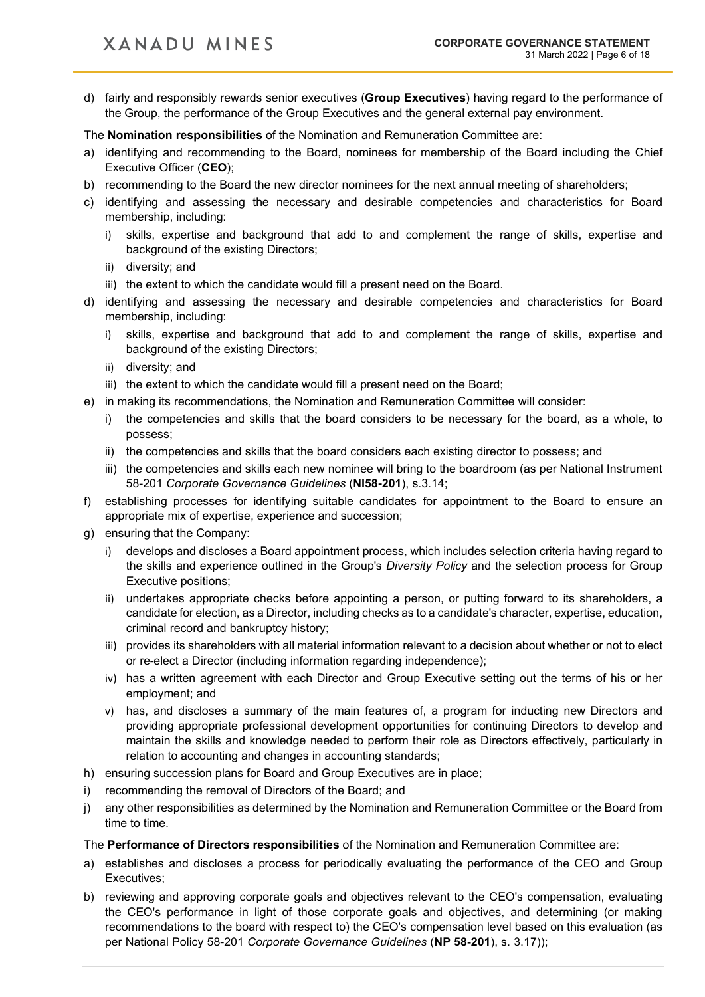d) fairly and responsibly rewards senior executives (**Group Executives**) having regard to the performance of the Group, the performance of the Group Executives and the general external pay environment.

The **Nomination responsibilities** of the Nomination and Remuneration Committee are:

- a) identifying and recommending to the Board, nominees for membership of the Board including the Chief Executive Officer (**CEO**);
- b) recommending to the Board the new director nominees for the next annual meeting of shareholders;
- c) identifying and assessing the necessary and desirable competencies and characteristics for Board membership, including:
	- i) skills, expertise and background that add to and complement the range of skills, expertise and background of the existing Directors;
	- ii) diversity; and
	- iii) the extent to which the candidate would fill a present need on the Board.
- d) identifying and assessing the necessary and desirable competencies and characteristics for Board membership, including:
	- i) skills, expertise and background that add to and complement the range of skills, expertise and background of the existing Directors;
	- ii) diversity; and
	- iii) the extent to which the candidate would fill a present need on the Board;
- e) in making its recommendations, the Nomination and Remuneration Committee will consider:
	- i) the competencies and skills that the board considers to be necessary for the board, as a whole, to possess;
	- ii) the competencies and skills that the board considers each existing director to possess; and
	- iii) the competencies and skills each new nominee will bring to the boardroom (as per National Instrument 58-201 *Corporate Governance Guidelines* (**NI58-201**), s.3.14;
- f) establishing processes for identifying suitable candidates for appointment to the Board to ensure an appropriate mix of expertise, experience and succession;
- g) ensuring that the Company:
	- i) develops and discloses a Board appointment process, which includes selection criteria having regard to the skills and experience outlined in the Group's *Diversity Policy* and the selection process for Group Executive positions;
	- ii) undertakes appropriate checks before appointing a person, or putting forward to its shareholders, a candidate for election, as a Director, including checks as to a candidate's character, expertise, education, criminal record and bankruptcy history;
	- iii) provides its shareholders with all material information relevant to a decision about whether or not to elect or re-elect a Director (including information regarding independence);
	- iv) has a written agreement with each Director and Group Executive setting out the terms of his or her employment; and
	- v) has, and discloses a summary of the main features of, a program for inducting new Directors and providing appropriate professional development opportunities for continuing Directors to develop and maintain the skills and knowledge needed to perform their role as Directors effectively, particularly in relation to accounting and changes in accounting standards;
- h) ensuring succession plans for Board and Group Executives are in place;
- i) recommending the removal of Directors of the Board; and
- j) any other responsibilities as determined by the Nomination and Remuneration Committee or the Board from time to time.

## The **Performance of Directors responsibilities** of the Nomination and Remuneration Committee are:

- a) establishes and discloses a process for periodically evaluating the performance of the CEO and Group Executives;
- b) reviewing and approving corporate goals and objectives relevant to the CEO's compensation, evaluating the CEO's performance in light of those corporate goals and objectives, and determining (or making recommendations to the board with respect to) the CEO's compensation level based on this evaluation (as per National Policy 58-201 *Corporate Governance Guidelines* (**NP 58-201**), s. 3.17));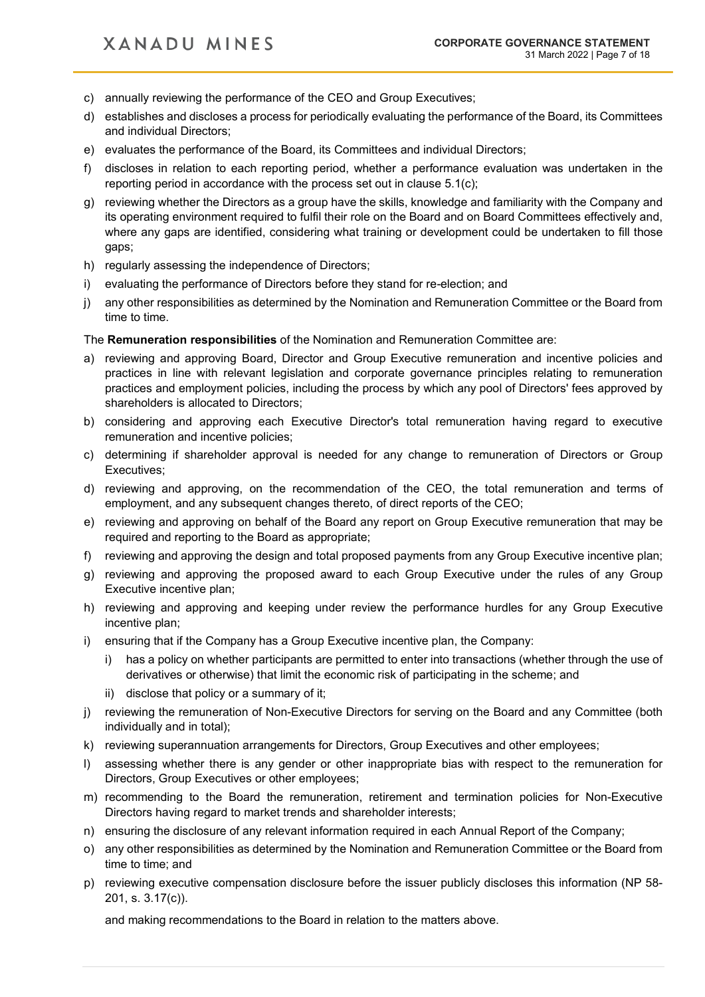- c) annually reviewing the performance of the CEO and Group Executives;
- d) establishes and discloses a process for periodically evaluating the performance of the Board, its Committees and individual Directors;
- e) evaluates the performance of the Board, its Committees and individual Directors;
- f) discloses in relation to each reporting period, whether a performance evaluation was undertaken in the reporting period in accordance with the process set out in clause 5.1(c);
- g) reviewing whether the Directors as a group have the skills, knowledge and familiarity with the Company and its operating environment required to fulfil their role on the Board and on Board Committees effectively and, where any gaps are identified, considering what training or development could be undertaken to fill those gaps;
- h) regularly assessing the independence of Directors;
- i) evaluating the performance of Directors before they stand for re-election; and
- j) any other responsibilities as determined by the Nomination and Remuneration Committee or the Board from time to time.

## The **Remuneration responsibilities** of the Nomination and Remuneration Committee are:

- a) reviewing and approving Board, Director and Group Executive remuneration and incentive policies and practices in line with relevant legislation and corporate governance principles relating to remuneration practices and employment policies, including the process by which any pool of Directors' fees approved by shareholders is allocated to Directors;
- b) considering and approving each Executive Director's total remuneration having regard to executive remuneration and incentive policies;
- c) determining if shareholder approval is needed for any change to remuneration of Directors or Group Executives;
- d) reviewing and approving, on the recommendation of the CEO, the total remuneration and terms of employment, and any subsequent changes thereto, of direct reports of the CEO;
- e) reviewing and approving on behalf of the Board any report on Group Executive remuneration that may be required and reporting to the Board as appropriate;
- f) reviewing and approving the design and total proposed payments from any Group Executive incentive plan;
- g) reviewing and approving the proposed award to each Group Executive under the rules of any Group Executive incentive plan;
- h) reviewing and approving and keeping under review the performance hurdles for any Group Executive incentive plan;
- i) ensuring that if the Company has a Group Executive incentive plan, the Company:
	- i) has a policy on whether participants are permitted to enter into transactions (whether through the use of derivatives or otherwise) that limit the economic risk of participating in the scheme; and
	- ii) disclose that policy or a summary of it;
- j) reviewing the remuneration of Non-Executive Directors for serving on the Board and any Committee (both individually and in total);
- k) reviewing superannuation arrangements for Directors, Group Executives and other employees;
- l) assessing whether there is any gender or other inappropriate bias with respect to the remuneration for Directors, Group Executives or other employees;
- m) recommending to the Board the remuneration, retirement and termination policies for Non-Executive Directors having regard to market trends and shareholder interests;
- n) ensuring the disclosure of any relevant information required in each Annual Report of the Company;
- o) any other responsibilities as determined by the Nomination and Remuneration Committee or the Board from time to time; and
- p) reviewing executive compensation disclosure before the issuer publicly discloses this information (NP 58- 201, s. 3.17(c)).

and making recommendations to the Board in relation to the matters above.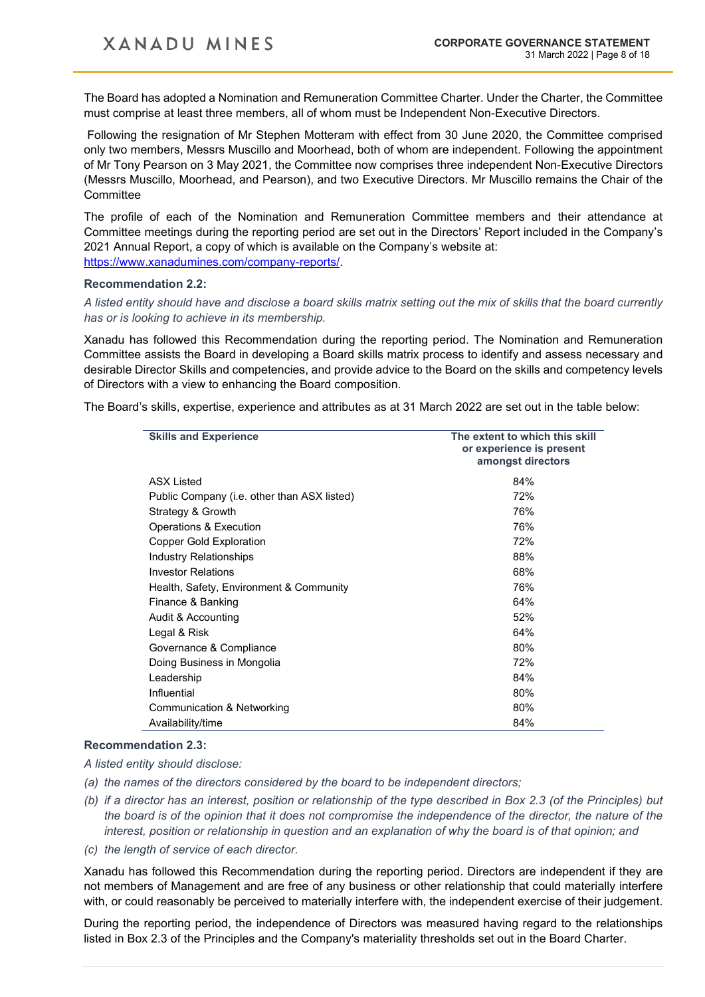The Board has adopted a Nomination and Remuneration Committee Charter. Under the Charter, the Committee must comprise at least three members, all of whom must be Independent Non-Executive Directors.

Following the resignation of Mr Stephen Motteram with effect from 30 June 2020, the Committee comprised only two members, Messrs Muscillo and Moorhead, both of whom are independent. Following the appointment of Mr Tony Pearson on 3 May 2021, the Committee now comprises three independent Non-Executive Directors (Messrs Muscillo, Moorhead, and Pearson), and two Executive Directors. Mr Muscillo remains the Chair of the **Committee** 

The profile of each of the Nomination and Remuneration Committee members and their attendance at Committee meetings during the reporting period are set out in the Directors' Report included in the Company's 2021 Annual Report, a copy of which is available on the Company's website at: [https://www.xanadumines.com/company-reports/.](https://www.xanadumines.com/company-reports/)

#### **Recommendation 2.2:**

*A listed entity should have and disclose a board skills matrix setting out the mix of skills that the board currently has or is looking to achieve in its membership.*

Xanadu has followed this Recommendation during the reporting period. The Nomination and Remuneration Committee assists the Board in developing a Board skills matrix process to identify and assess necessary and desirable Director Skills and competencies, and provide advice to the Board on the skills and competency levels of Directors with a view to enhancing the Board composition.

The Board's skills, expertise, experience and attributes as at 31 March 2022 are set out in the table below:

| <b>Skills and Experience</b>                | The extent to which this skill<br>or experience is present<br>amongst directors |
|---------------------------------------------|---------------------------------------------------------------------------------|
| <b>ASX Listed</b>                           | 84%                                                                             |
| Public Company (i.e. other than ASX listed) | 72%                                                                             |
| Strategy & Growth                           | 76%                                                                             |
| Operations & Execution                      | 76%                                                                             |
| <b>Copper Gold Exploration</b>              | 72%                                                                             |
| <b>Industry Relationships</b>               | 88%                                                                             |
| <b>Investor Relations</b>                   | 68%                                                                             |
| Health, Safety, Environment & Community     | 76%                                                                             |
| Finance & Banking                           | 64%                                                                             |
| Audit & Accounting                          | 52%                                                                             |
| Legal & Risk                                | 64%                                                                             |
| Governance & Compliance                     | 80%                                                                             |
| Doing Business in Mongolia                  | 72%                                                                             |
| Leadership                                  | 84%                                                                             |
| Influential                                 | 80%                                                                             |
| Communication & Networking                  | 80%                                                                             |
| Availability/time                           | 84%                                                                             |

## **Recommendation 2.3:**

*A listed entity should disclose:*

- *(a) the names of the directors considered by the board to be independent directors;*
- *(b) if a director has an interest, position or relationship of the type described in Box 2.3 (of the Principles) but the board is of the opinion that it does not compromise the independence of the director, the nature of the interest, position or relationship in question and an explanation of why the board is of that opinion; and*
- *(c) the length of service of each director.*

Xanadu has followed this Recommendation during the reporting period. Directors are independent if they are not members of Management and are free of any business or other relationship that could materially interfere with, or could reasonably be perceived to materially interfere with, the independent exercise of their judgement.

During the reporting period, the independence of Directors was measured having regard to the relationships listed in Box 2.3 of the Principles and the Company's materiality thresholds set out in the Board Charter.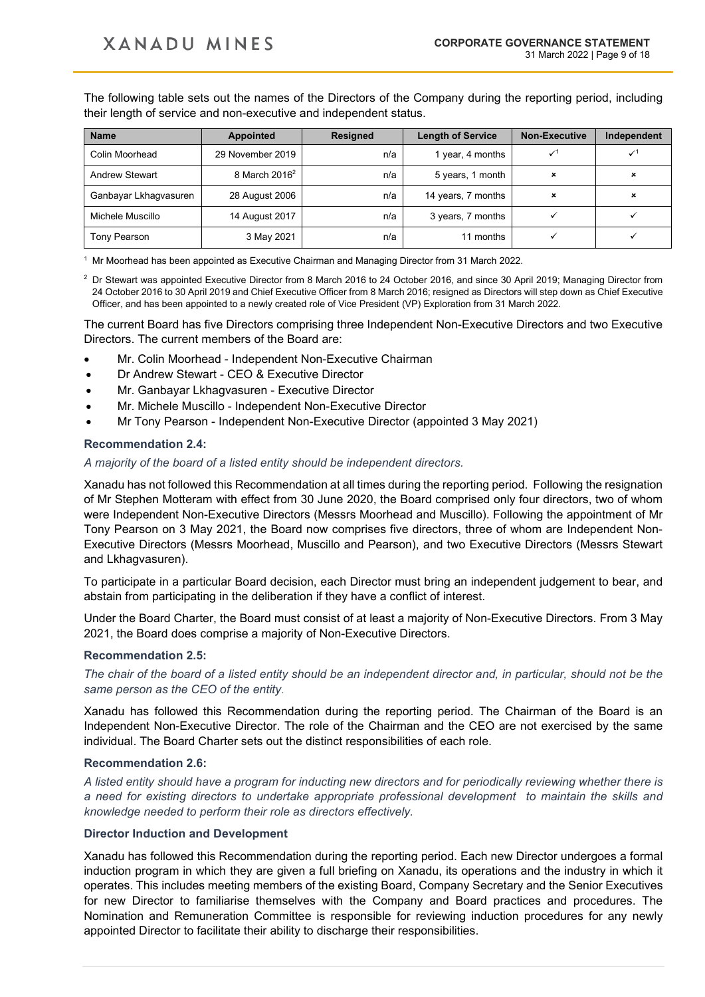The following table sets out the names of the Directors of the Company during the reporting period, including their length of service and non-executive and independent status.

| <b>Name</b>           | <b>Appointed</b>          | <b>Resigned</b> | <b>Length of Service</b> | <b>Non-Executive</b>      | Independent |
|-----------------------|---------------------------|-----------------|--------------------------|---------------------------|-------------|
| Colin Moorhead        | 29 November 2019          | n/a             | 1 year, 4 months         | $\checkmark$ <sup>1</sup> |             |
| <b>Andrew Stewart</b> | 8 March 2016 <sup>2</sup> | n/a             | 5 years, 1 month         | $\boldsymbol{\mathsf{x}}$ | ×           |
| Ganbayar Lkhagvasuren | 28 August 2006            | n/a             | 14 years, 7 months       | ×                         | ×           |
| Michele Muscillo      | 14 August 2017            | n/a             | 3 years, 7 months        |                           |             |
| Tony Pearson          | 3 May 2021                | n/a             | 11 months                |                           |             |

<sup>1</sup> Mr Moorhead has been appointed as Executive Chairman and Managing Director from 31 March 2022.

<sup>2</sup> Dr Stewart was appointed Executive Director from 8 March 2016 to 24 October 2016, and since 30 April 2019; Managing Director from 24 October 2016 to 30 April 2019 and Chief Executive Officer from 8 March 2016; resigned as Directors will step down as Chief Executive Officer, and has been appointed to a newly created role of Vice President (VP) Exploration from 31 March 2022.

The current Board has five Directors comprising three Independent Non-Executive Directors and two Executive Directors. The current members of the Board are:

- Mr. Colin Moorhead Independent Non-Executive Chairman
- Dr Andrew Stewart CEO & Executive Director
- Mr. Ganbayar Lkhagvasuren Executive Director
- Mr. Michele Muscillo Independent Non-Executive Director
- Mr Tony Pearson Independent Non-Executive Director (appointed 3 May 2021)

#### **Recommendation 2.4:**

#### *A majority of the board of a listed entity should be independent directors.*

Xanadu has not followed this Recommendation at all times during the reporting period. Following the resignation of Mr Stephen Motteram with effect from 30 June 2020, the Board comprised only four directors, two of whom were Independent Non-Executive Directors (Messrs Moorhead and Muscillo). Following the appointment of Mr Tony Pearson on 3 May 2021, the Board now comprises five directors, three of whom are Independent Non-Executive Directors (Messrs Moorhead, Muscillo and Pearson), and two Executive Directors (Messrs Stewart and Lkhagvasuren).

To participate in a particular Board decision, each Director must bring an independent judgement to bear, and abstain from participating in the deliberation if they have a conflict of interest.

Under the Board Charter, the Board must consist of at least a majority of Non-Executive Directors. From 3 May 2021, the Board does comprise a majority of Non-Executive Directors.

#### **Recommendation 2.5:**

*The chair of the board of a listed entity should be an independent director and, in particular, should not be the same person as the CEO of the entity*.

Xanadu has followed this Recommendation during the reporting period. The Chairman of the Board is an Independent Non-Executive Director. The role of the Chairman and the CEO are not exercised by the same individual. The Board Charter sets out the distinct responsibilities of each role.

#### **Recommendation 2.6:**

*A listed entity should have a program for inducting new directors and for periodically reviewing whether there is a need for existing directors to undertake appropriate professional development to maintain the skills and knowledge needed to perform their role as directors effectively.*

#### **Director Induction and Development**

Xanadu has followed this Recommendation during the reporting period. Each new Director undergoes a formal induction program in which they are given a full briefing on Xanadu, its operations and the industry in which it operates. This includes meeting members of the existing Board, Company Secretary and the Senior Executives for new Director to familiarise themselves with the Company and Board practices and procedures. The Nomination and Remuneration Committee is responsible for reviewing induction procedures for any newly appointed Director to facilitate their ability to discharge their responsibilities.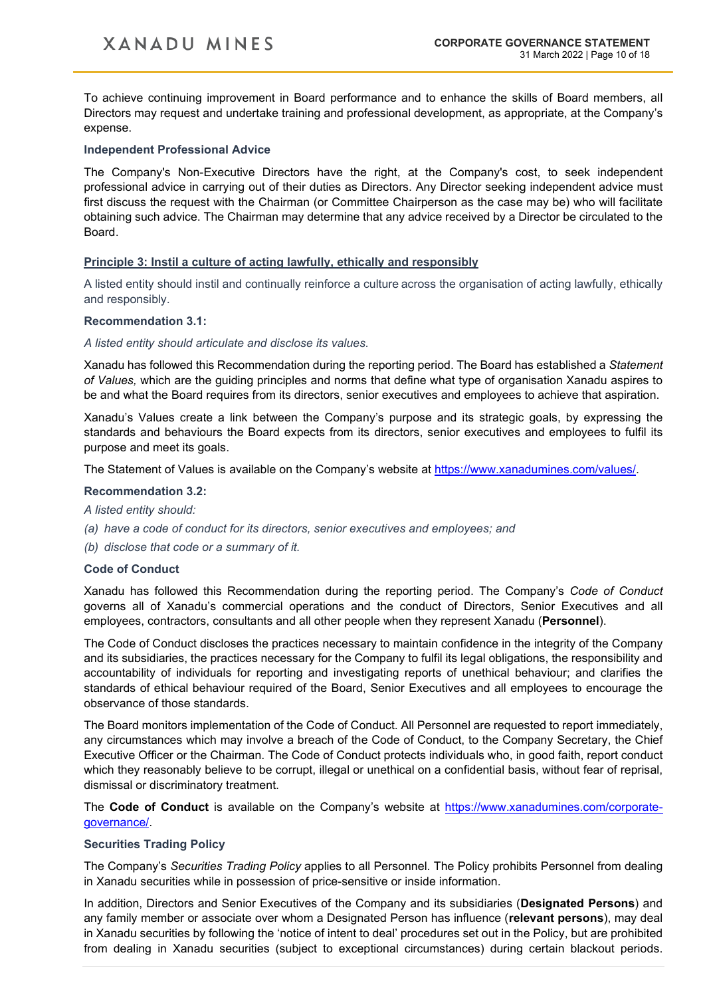To achieve continuing improvement in Board performance and to enhance the skills of Board members, all Directors may request and undertake training and professional development, as appropriate, at the Company's expense.

## **Independent Professional Advice**

The Company's Non-Executive Directors have the right, at the Company's cost, to seek independent professional advice in carrying out of their duties as Directors. Any Director seeking independent advice must first discuss the request with the Chairman (or Committee Chairperson as the case may be) who will facilitate obtaining such advice. The Chairman may determine that any advice received by a Director be circulated to the Board.

## **Principle 3: Instil a culture of acting lawfully, ethically and responsibly**

A listed entity should instil and continually reinforce a culture across the organisation of acting lawfully, ethically and responsibly.

## **Recommendation 3.1:**

#### *A listed entity should articulate and disclose its values.*

Xanadu has followed this Recommendation during the reporting period. The Board has established a *Statement of Values,* which are the guiding principles and norms that define what type of organisation Xanadu aspires to be and what the Board requires from its directors, senior executives and employees to achieve that aspiration.

Xanadu's Values create a link between the Company's purpose and its strategic goals, by expressing the standards and behaviours the Board expects from its directors, senior executives and employees to fulfil its purpose and meet its goals.

The Statement of Values is available on the Company's website at [https://www.xanadumines.com/values/.](https://www.xanadumines.com/values/)

## **Recommendation 3.2:**

*A listed entity should:*

- *(a) have a code of conduct for its directors, senior executives and employees; and*
- *(b) disclose that code or a summary of it.*

#### **Code of Conduct**

Xanadu has followed this Recommendation during the reporting period. The Company's *Code of Conduct* governs all of Xanadu's commercial operations and the conduct of Directors, Senior Executives and all employees, contractors, consultants and all other people when they represent Xanadu (**Personnel**).

The Code of Conduct discloses the practices necessary to maintain confidence in the integrity of the Company and its subsidiaries, the practices necessary for the Company to fulfil its legal obligations, the responsibility and accountability of individuals for reporting and investigating reports of unethical behaviour; and clarifies the standards of ethical behaviour required of the Board, Senior Executives and all employees to encourage the observance of those standards.

The Board monitors implementation of the Code of Conduct. All Personnel are requested to report immediately, any circumstances which may involve a breach of the Code of Conduct, to the Company Secretary, the Chief Executive Officer or the Chairman. The Code of Conduct protects individuals who, in good faith, report conduct which they reasonably believe to be corrupt, illegal or unethical on a confidential basis, without fear of reprisal, dismissal or discriminatory treatment.

The **Code of Conduct** is available on the Company's website at [https://www.xanadumines.com/corporate](https://www.xanadumines.com/corporate-governance/)[governance/.](https://www.xanadumines.com/corporate-governance/)

#### **Securities Trading Policy**

The Company's *Securities Trading Policy* applies to all Personnel. The Policy prohibits Personnel from dealing in Xanadu securities while in possession of price-sensitive or inside information.

In addition, Directors and Senior Executives of the Company and its subsidiaries (**Designated Persons**) and any family member or associate over whom a Designated Person has influence (**relevant persons**), may deal in Xanadu securities by following the 'notice of intent to deal' procedures set out in the Policy, but are prohibited from dealing in Xanadu securities (subject to exceptional circumstances) during certain blackout periods.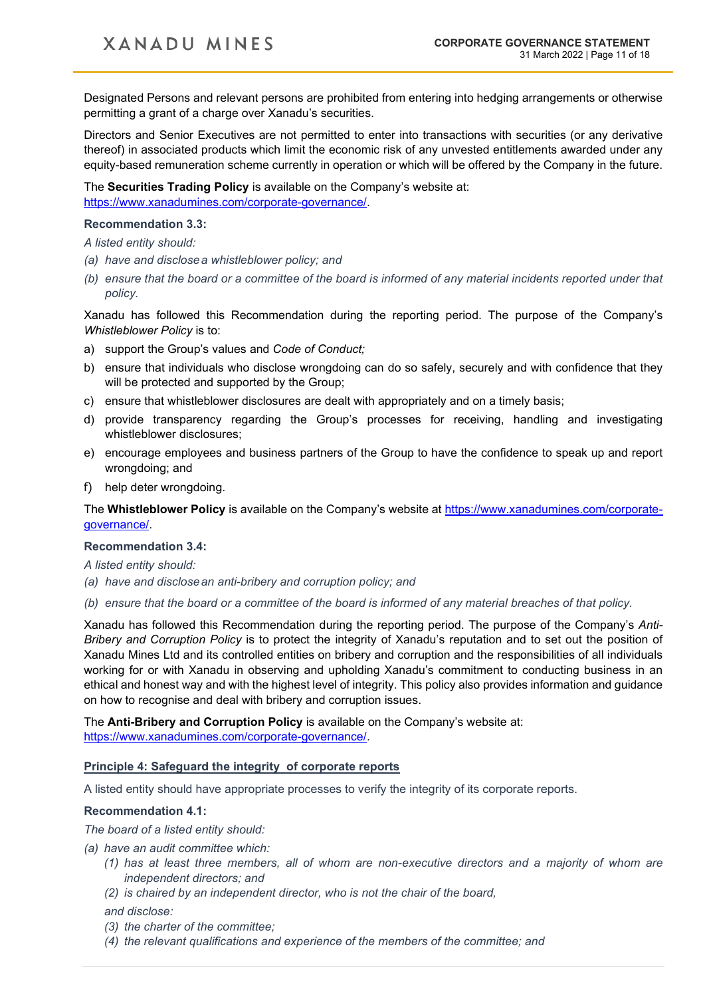Designated Persons and relevant persons are prohibited from entering into hedging arrangements or otherwise permitting a grant of a charge over Xanadu's securities.

Directors and Senior Executives are not permitted to enter into transactions with securities (or any derivative thereof) in associated products which limit the economic risk of any unvested entitlements awarded under any equity-based remuneration scheme currently in operation or which will be offered by the Company in the future.

The **Securities Trading Policy** is available on the Company's website at: [https://www.xanadumines.com/corporate-governance/.](https://www.xanadumines.com/corporate-governance/)

#### **Recommendation 3.3:**

*A listed entity should:*

- *(a) have and disclosea whistleblower policy; and*
- *(b) ensure that the board or a committee of the board is informed of any material incidents reported under that policy.*

Xanadu has followed this Recommendation during the reporting period. The purpose of the Company's *Whistleblower Policy* is to:

- a) support the Group's values and *Code of Conduct;*
- b) ensure that individuals who disclose wrongdoing can do so safely, securely and with confidence that they will be protected and supported by the Group;
- c) ensure that whistleblower disclosures are dealt with appropriately and on a timely basis;
- d) provide transparency regarding the Group's processes for receiving, handling and investigating whistleblower disclosures;
- e) encourage employees and business partners of the Group to have the confidence to speak up and report wrongdoing; and
- f) help deter wrongdoing.

The **Whistleblower Policy** is available on the Company's website at [https://www.xanadumines.com/corporate](https://www.xanadumines.com/corporate-governance/)[governance/.](https://www.xanadumines.com/corporate-governance/)

#### **Recommendation 3.4:**

*A listed entity should:*

- *(a) have and disclosean anti-bribery and corruption policy; and*
- *(b) ensure that the board or a committee of the board is informed of any material breaches of that policy.*

Xanadu has followed this Recommendation during the reporting period. The purpose of the Company's *Anti-Bribery and Corruption Policy* is to protect the integrity of Xanadu's reputation and to set out the position of Xanadu Mines Ltd and its controlled entities on bribery and corruption and the responsibilities of all individuals working for or with Xanadu in observing and upholding Xanadu's commitment to conducting business in an ethical and honest way and with the highest level of integrity. This policy also provides information and guidance on how to recognise and deal with bribery and corruption issues.

The **Anti-Bribery and Corruption Policy** is available on the Company's website at: [https://www.xanadumines.com/corporate-governance/.](https://www.xanadumines.com/corporate-governance/)

#### **Principle 4: Safeguard the integrity of corporate reports**

A listed entity should have appropriate processes to verify the integrity of its corporate reports.

#### **Recommendation 4.1:**

*The board of a listed entity should:*

- *(a) have an audit committee which:* 
	- *(1) has at least three members, all of whom are non-executive directors and a majority of whom are independent directors; and*
	- *(2) is chaired by an independent director, who is not the chair of the board,*

#### *and disclose:*

- *(3) the charter of the committee;*
- *(4) the relevant qualifications and experience of the members of the committee; and*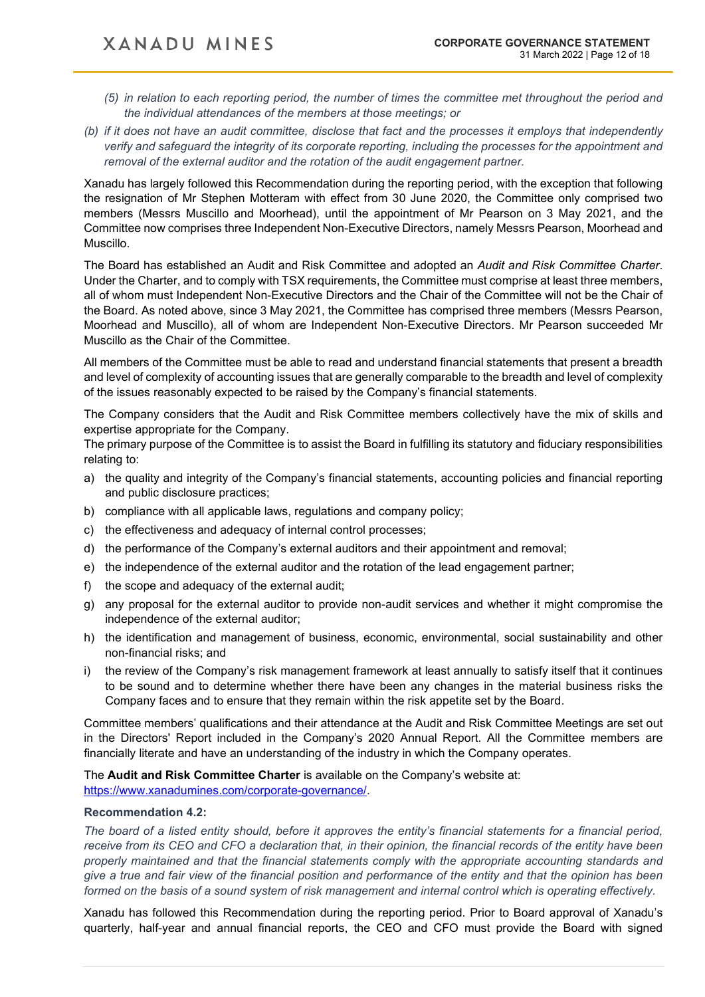- *(5) in relation to each reporting period, the number of times the committee met throughout the period and the individual attendances of the members at those meetings; or*
- *(b) if it does not have an audit committee, disclose that fact and the processes it employs that independently verify and safeguard the integrity of its corporate reporting, including the processes for the appointment and removal of the external auditor and the rotation of the audit engagement partner.*

Xanadu has largely followed this Recommendation during the reporting period, with the exception that following the resignation of Mr Stephen Motteram with effect from 30 June 2020, the Committee only comprised two members (Messrs Muscillo and Moorhead), until the appointment of Mr Pearson on 3 May 2021, and the Committee now comprises three Independent Non-Executive Directors, namely Messrs Pearson, Moorhead and Muscillo.

The Board has established an Audit and Risk Committee and adopted an *Audit and Risk Committee Charter*. Under the Charter, and to comply with TSX requirements, the Committee must comprise at least three members, all of whom must Independent Non-Executive Directors and the Chair of the Committee will not be the Chair of the Board. As noted above, since 3 May 2021, the Committee has comprised three members (Messrs Pearson, Moorhead and Muscillo), all of whom are Independent Non-Executive Directors. Mr Pearson succeeded Mr Muscillo as the Chair of the Committee.

All members of the Committee must be able to read and understand financial statements that present a breadth and level of complexity of accounting issues that are generally comparable to the breadth and level of complexity of the issues reasonably expected to be raised by the Company's financial statements.

The Company considers that the Audit and Risk Committee members collectively have the mix of skills and expertise appropriate for the Company.

The primary purpose of the Committee is to assist the Board in fulfilling its statutory and fiduciary responsibilities relating to:

- a) the quality and integrity of the Company's financial statements, accounting policies and financial reporting and public disclosure practices;
- b) compliance with all applicable laws, regulations and company policy;
- c) the effectiveness and adequacy of internal control processes;
- d) the performance of the Company's external auditors and their appointment and removal;
- e) the independence of the external auditor and the rotation of the lead engagement partner;
- f) the scope and adequacy of the external audit;
- g) any proposal for the external auditor to provide non-audit services and whether it might compromise the independence of the external auditor;
- h) the identification and management of business, economic, environmental, social sustainability and other non-financial risks; and
- i) the review of the Company's risk management framework at least annually to satisfy itself that it continues to be sound and to determine whether there have been any changes in the material business risks the Company faces and to ensure that they remain within the risk appetite set by the Board.

Committee members' qualifications and their attendance at the Audit and Risk Committee Meetings are set out in the Directors' Report included in the Company's 2020 Annual Report. All the Committee members are financially literate and have an understanding of the industry in which the Company operates.

The **Audit and Risk Committee Charter** is available on the Company's website at: [https://www.xanadumines.com/corporate-governance/.](https://www.xanadumines.com/corporate-governance/)

#### **Recommendation 4.2:**

*The board of a listed entity should, before it approves the entity's financial statements for a financial period, receive from its CEO and CFO a declaration that, in their opinion, the financial records of the entity have been properly maintained and that the financial statements comply with the appropriate accounting standards and give a true and fair view of the financial position and performance of the entity and that the opinion has been formed on the basis of a sound system of risk management and internal control which is operating effectively.*

Xanadu has followed this Recommendation during the reporting period. Prior to Board approval of Xanadu's quarterly, half-year and annual financial reports, the CEO and CFO must provide the Board with signed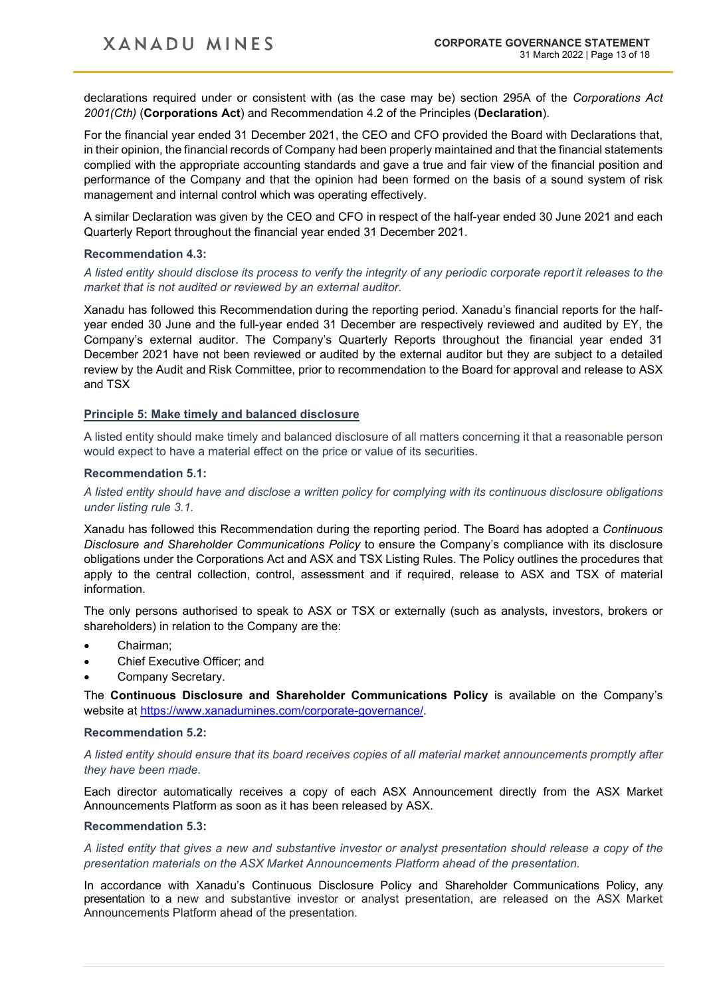declarations required under or consistent with (as the case may be) section 295A of the *Corporations Act 2001(Cth)* (**Corporations Act**) and Recommendation 4.2 of the Principles (**Declaration**).

For the financial year ended 31 December 2021, the CEO and CFO provided the Board with Declarations that, in their opinion, the financial records of Company had been properly maintained and that the financial statements complied with the appropriate accounting standards and gave a true and fair view of the financial position and performance of the Company and that the opinion had been formed on the basis of a sound system of risk management and internal control which was operating effectively.

A similar Declaration was given by the CEO and CFO in respect of the half-year ended 30 June 2021 and each Quarterly Report throughout the financial year ended 31 December 2021.

#### **Recommendation 4.3:**

*A listed entity should disclose its process to verify the integrity of any periodic corporate report it releases to the market that is not audited or reviewed by an external auditor.*

Xanadu has followed this Recommendation during the reporting period. Xanadu's financial reports for the halfyear ended 30 June and the full-year ended 31 December are respectively reviewed and audited by EY, the Company's external auditor. The Company's Quarterly Reports throughout the financial year ended 31 December 2021 have not been reviewed or audited by the external auditor but they are subject to a detailed review by the Audit and Risk Committee, prior to recommendation to the Board for approval and release to ASX and TSX

## **Principle 5: Make timely and balanced disclosure**

A listed entity should make timely and balanced disclosure of all matters concerning it that a reasonable person would expect to have a material effect on the price or value of its securities.

#### **Recommendation 5.1:**

*A listed entity should have and disclose a written policy for complying with its continuous disclosure obligations under listing rule 3.1.*

Xanadu has followed this Recommendation during the reporting period. The Board has adopted a *Continuous Disclosure and Shareholder Communications Policy* to ensure the Company's compliance with its disclosure obligations under the Corporations Act and ASX and TSX Listing Rules. The Policy outlines the procedures that apply to the central collection, control, assessment and if required, release to ASX and TSX of material information.

The only persons authorised to speak to ASX or TSX or externally (such as analysts, investors, brokers or shareholders) in relation to the Company are the:

- Chairman;
- Chief Executive Officer; and
- Company Secretary.

The **Continuous Disclosure and Shareholder Communications Policy** is available on the Company's website at [https://www.xanadumines.com/corporate-governance/.](https://www.xanadumines.com/corporate-governance/)

#### **Recommendation 5.2:**

*A listed entity should ensure that its board receives copies of all material market announcements promptly after they have been made.*

Each director automatically receives a copy of each ASX Announcement directly from the ASX Market Announcements Platform as soon as it has been released by ASX.

#### **Recommendation 5.3:**

*A listed entity that gives a new and substantive investor or analyst presentation should release a copy of the presentation materials on the ASX Market Announcements Platform ahead of the presentation.*

In accordance with Xanadu's Continuous Disclosure Policy and Shareholder Communications Policy, any presentation to a new and substantive investor or analyst presentation, are released on the ASX Market Announcements Platform ahead of the presentation.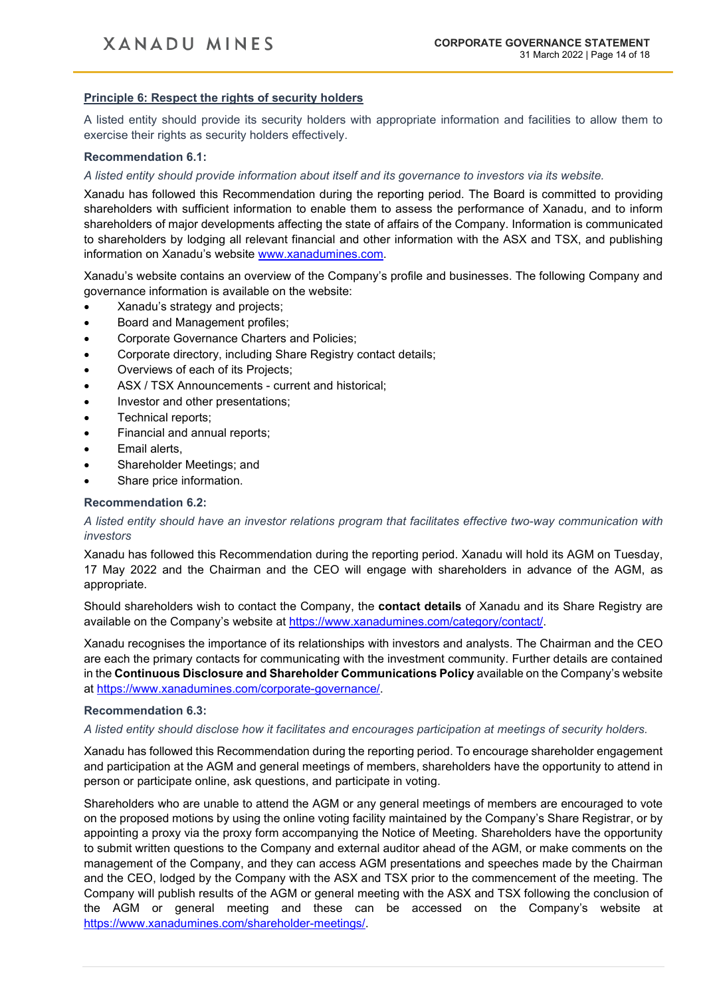## **Principle 6: Respect the rights of security holders**

A listed entity should provide its security holders with appropriate information and facilities to allow them to exercise their rights as security holders effectively.

#### **Recommendation 6.1:**

#### *A listed entity should provide information about itself and its governance to investors via its website.*

Xanadu has followed this Recommendation during the reporting period. The Board is committed to providing shareholders with sufficient information to enable them to assess the performance of Xanadu, and to inform shareholders of major developments affecting the state of affairs of the Company. Information is communicated to shareholders by lodging all relevant financial and other information with the ASX and TSX, and publishing information on Xanadu's website [www.xanadumines.com.](http://www.xanadumines.com/)

Xanadu's website contains an overview of the Company's profile and businesses. The following Company and governance information is available on the website:

- Xanadu's strategy and projects;
- Board and Management profiles;
- Corporate Governance Charters and Policies;
- Corporate directory, including Share Registry contact details;
- Overviews of each of its Projects;
- ASX / TSX Announcements current and historical;
- Investor and other presentations;
- Technical reports;
- Financial and annual reports;
- Email alerts,
- Shareholder Meetings; and
- Share price information.

#### **Recommendation 6.2:**

## *A listed entity should have an investor relations program that facilitates effective two-way communication with investors*

Xanadu has followed this Recommendation during the reporting period. Xanadu will hold its AGM on Tuesday, 17 May 2022 and the Chairman and the CEO will engage with shareholders in advance of the AGM, as appropriate.

Should shareholders wish to contact the Company, the **contact details** of Xanadu and its Share Registry are available on the Company's website at [https://www.xanadumines.com/category/contact/.](https://www.xanadumines.com/category/contact/)

Xanadu recognises the importance of its relationships with investors and analysts. The Chairman and the CEO are each the primary contacts for communicating with the investment community. Further details are contained in the **Continuous Disclosure and Shareholder Communications Policy** available on the Company's website at [https://www.xanadumines.com/corporate-governance/.](https://www.xanadumines.com/corporate-governance/)

#### **Recommendation 6.3:**

#### *A listed entity should disclose how it facilitates and encourages participation at meetings of security holders.*

Xanadu has followed this Recommendation during the reporting period. To encourage shareholder engagement and participation at the AGM and general meetings of members, shareholders have the opportunity to attend in person or participate online, ask questions, and participate in voting.

Shareholders who are unable to attend the AGM or any general meetings of members are encouraged to vote on the proposed motions by using the online voting facility maintained by the Company's Share Registrar, or by appointing a proxy via the proxy form accompanying the Notice of Meeting. Shareholders have the opportunity to submit written questions to the Company and external auditor ahead of the AGM, or make comments on the management of the Company, and they can access AGM presentations and speeches made by the Chairman and the CEO, lodged by the Company with the ASX and TSX prior to the commencement of the meeting. The Company will publish results of the AGM or general meeting with the ASX and TSX following the conclusion of the AGM or general meeting and these can be accessed on the Company's website at [https://www.xanadumines.com/shareholder-meetings/.](https://www.xanadumines.com/shareholder-meetings/)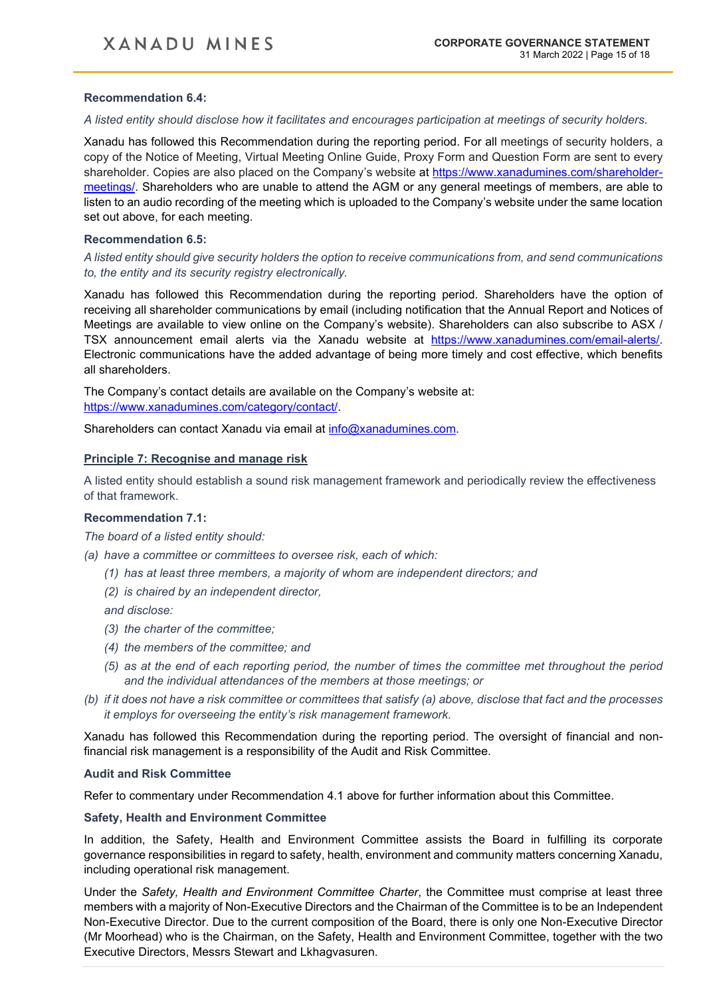### **Recommendation 6.4:**

*A listed entity should disclose how it facilitates and encourages participation at meetings of security holders.*

Xanadu has followed this Recommendation during the reporting period. For all meetings of security holders, a copy of the Notice of Meeting, Virtual Meeting Online Guide, Proxy Form and Question Form are sent to every shareholder. Copies are also placed on the Company's website at [https://www.xanadumines.com/shareholder](https://www.xanadumines.com/shareholder-meetings/)[meetings/.](https://www.xanadumines.com/shareholder-meetings/) Shareholders who are unable to attend the AGM or any general meetings of members, are able to listen to an audio recording of the meeting which is uploaded to the Company's website under the same location set out above, for each meeting.

#### **Recommendation 6.5:**

*A listed entity should give security holders the option to receive communications from, and send communications to, the entity and its security registry electronically.*

Xanadu has followed this Recommendation during the reporting period. Shareholders have the option of receiving all shareholder communications by email (including notification that the Annual Report and Notices of Meetings are available to view online on the Company's website). Shareholders can also subscribe to ASX / TSX announcement email alerts via the Xanadu website at [https://www.xanadumines.com/email-alerts/.](https://www.xanadumines.com/email-alerts/) Electronic communications have the added advantage of being more timely and cost effective, which benefits all shareholders.

The Company's contact details are available on the Company's website at: [https://www.xanadumines.com/category/contact/.](https://www.xanadumines.com/category/contact/)

Shareholders can contact Xanadu via email at [info@xanadumines.com.](mailto:info@xanadumines.com)

#### **Principle 7: Recognise and manage risk**

A listed entity should establish a sound risk management framework and periodically review the effectiveness of that framework.

#### **Recommendation 7.1:**

*The board of a listed entity should:*

- *(a) have a committee or committees to oversee risk, each of which:* 
	- *(1) has at least three members, a majority of whom are independent directors; and*
	- *(2) is chaired by an independent director,*

*and disclose:* 

- *(3) the charter of the committee;*
- *(4) the members of the committee; and*
- *(5) as at the end of each reporting period, the number of times the committee met throughout the period and the individual attendances of the members at those meetings; or*
- *(b) if it does not have a risk committee or committees that satisfy (a) above, disclose that fact and the processes it employs for overseeing the entity's risk management framework.*

Xanadu has followed this Recommendation during the reporting period. The oversight of financial and nonfinancial risk management is a responsibility of the Audit and Risk Committee.

#### **Audit and Risk Committee**

Refer to commentary under Recommendation 4.1 above for further information about this Committee.

#### **Safety, Health and Environment Committee**

In addition, the Safety, Health and Environment Committee assists the Board in fulfilling its corporate governance responsibilities in regard to safety, health, environment and community matters concerning Xanadu, including operational risk management.

Under the *Safety, Health and Environment Committee Charter*, the Committee must comprise at least three members with a majority of Non-Executive Directors and the Chairman of the Committee is to be an Independent Non-Executive Director. Due to the current composition of the Board, there is only one Non-Executive Director (Mr Moorhead) who is the Chairman, on the Safety, Health and Environment Committee, together with the two Executive Directors, Messrs Stewart and Lkhagvasuren.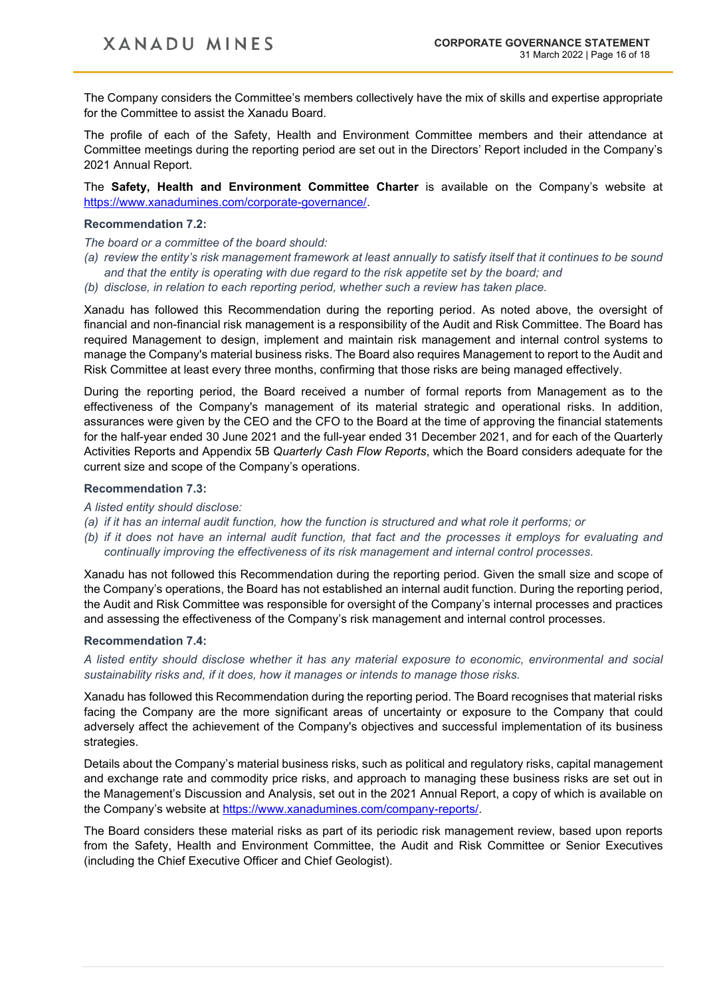The Company considers the Committee's members collectively have the mix of skills and expertise appropriate for the Committee to assist the Xanadu Board.

The profile of each of the Safety, Health and Environment Committee members and their attendance at Committee meetings during the reporting period are set out in the Directors' Report included in the Company's 2021 Annual Report.

The **Safety, Health and Environment Committee Charter** is available on the Company's website at [https://www.xanadumines.com/corporate-governance/.](https://www.xanadumines.com/corporate-governance/)

## **Recommendation 7.2:**

*The board or a committee of the board should:*

- *(a) review the entity's risk management framework at least annually to satisfy itself that it continues to be sound and that the entity is operating with due regard to the risk appetite set by the board; and*
- *(b) disclose, in relation to each reporting period, whether such a review has taken place.*

Xanadu has followed this Recommendation during the reporting period. As noted above, the oversight of financial and non-financial risk management is a responsibility of the Audit and Risk Committee. The Board has required Management to design, implement and maintain risk management and internal control systems to manage the Company's material business risks. The Board also requires Management to report to the Audit and Risk Committee at least every three months, confirming that those risks are being managed effectively.

During the reporting period, the Board received a number of formal reports from Management as to the effectiveness of the Company's management of its material strategic and operational risks. In addition, assurances were given by the CEO and the CFO to the Board at the time of approving the financial statements for the half-year ended 30 June 2021 and the full-year ended 31 December 2021, and for each of the Quarterly Activities Reports and Appendix 5B *Quarterly Cash Flow Reports*, which the Board considers adequate for the current size and scope of the Company's operations.

## **Recommendation 7.3:**

#### *A listed entity should disclose:*

- *(a) if it has an internal audit function, how the function is structured and what role it performs; or*
- *(b) if it does not have an internal audit function, that fact and the processes it employs for evaluating and continually improving the effectiveness of its risk management and internal control processes.*

Xanadu has not followed this Recommendation during the reporting period. Given the small size and scope of the Company's operations, the Board has not established an internal audit function. During the reporting period, the Audit and Risk Committee was responsible for oversight of the Company's internal processes and practices and assessing the effectiveness of the Company's risk management and internal control processes.

#### **Recommendation 7.4:**

*A listed entity should disclose whether it has any material exposure to economic, environmental and social sustainability risks and, if it does, how it manages or intends to manage those risks.*

Xanadu has followed this Recommendation during the reporting period. The Board recognises that material risks facing the Company are the more significant areas of uncertainty or exposure to the Company that could adversely affect the achievement of the Company's objectives and successful implementation of its business strategies.

Details about the Company's material business risks, such as political and regulatory risks, capital management and exchange rate and commodity price risks, and approach to managing these business risks are set out in the Management's Discussion and Analysis, set out in the 2021 Annual Report, a copy of which is available on the Company's website at [https://www.xanadumines.com/company-reports/.](https://www.xanadumines.com/company-reports/)

The Board considers these material risks as part of its periodic risk management review, based upon reports from the Safety, Health and Environment Committee, the Audit and Risk Committee or Senior Executives (including the Chief Executive Officer and Chief Geologist).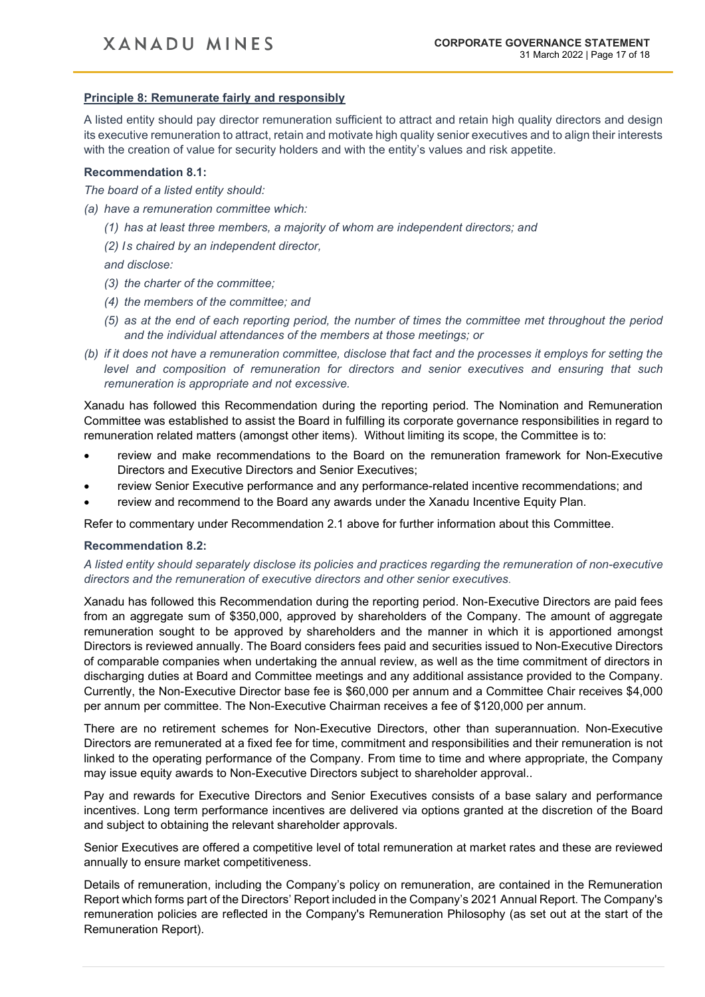## **Principle 8: Remunerate fairly and responsibly**

A listed entity should pay director remuneration sufficient to attract and retain high quality directors and design its executive remuneration to attract, retain and motivate high quality senior executives and to align their interests with the creation of value for security holders and with the entity's values and risk appetite.

#### **Recommendation 8.1:**

*The board of a listed entity should:*

*(a) have a remuneration committee which:* 

*(1) has at least three members, a majority of whom are independent directors; and* 

*(2) Is chaired by an independent director,* 

*and disclose:* 

- *(3) the charter of the committee;*
- *(4) the members of the committee; and*
- *(5) as at the end of each reporting period, the number of times the committee met throughout the period and the individual attendances of the members at those meetings; or*
- *(b) if it does not have a remuneration committee, disclose that fact and the processes it employs for setting the level and composition of remuneration for directors and senior executives and ensuring that such remuneration is appropriate and not excessive.*

Xanadu has followed this Recommendation during the reporting period. The Nomination and Remuneration Committee was established to assist the Board in fulfilling its corporate governance responsibilities in regard to remuneration related matters (amongst other items). Without limiting its scope, the Committee is to:

- review and make recommendations to the Board on the remuneration framework for Non-Executive Directors and Executive Directors and Senior Executives;
- review Senior Executive performance and any performance-related incentive recommendations; and
- review and recommend to the Board any awards under the Xanadu Incentive Equity Plan.

Refer to commentary under Recommendation 2.1 above for further information about this Committee.

#### **Recommendation 8.2:**

*A listed entity should separately disclose its policies and practices regarding the remuneration of non-executive directors and the remuneration of executive directors and other senior executives*.

Xanadu has followed this Recommendation during the reporting period. Non-Executive Directors are paid fees from an aggregate sum of \$350,000, approved by shareholders of the Company. The amount of aggregate remuneration sought to be approved by shareholders and the manner in which it is apportioned amongst Directors is reviewed annually. The Board considers fees paid and securities issued to Non-Executive Directors of comparable companies when undertaking the annual review, as well as the time commitment of directors in discharging duties at Board and Committee meetings and any additional assistance provided to the Company. Currently, the Non-Executive Director base fee is \$60,000 per annum and a Committee Chair receives \$4,000 per annum per committee. The Non-Executive Chairman receives a fee of \$120,000 per annum.

There are no retirement schemes for Non-Executive Directors, other than superannuation. Non-Executive Directors are remunerated at a fixed fee for time, commitment and responsibilities and their remuneration is not linked to the operating performance of the Company. From time to time and where appropriate, the Company may issue equity awards to Non-Executive Directors subject to shareholder approval..

Pay and rewards for Executive Directors and Senior Executives consists of a base salary and performance incentives. Long term performance incentives are delivered via options granted at the discretion of the Board and subject to obtaining the relevant shareholder approvals.

Senior Executives are offered a competitive level of total remuneration at market rates and these are reviewed annually to ensure market competitiveness.

Details of remuneration, including the Company's policy on remuneration, are contained in the Remuneration Report which forms part of the Directors' Report included in the Company's 2021 Annual Report. The Company's remuneration policies are reflected in the Company's Remuneration Philosophy (as set out at the start of the Remuneration Report).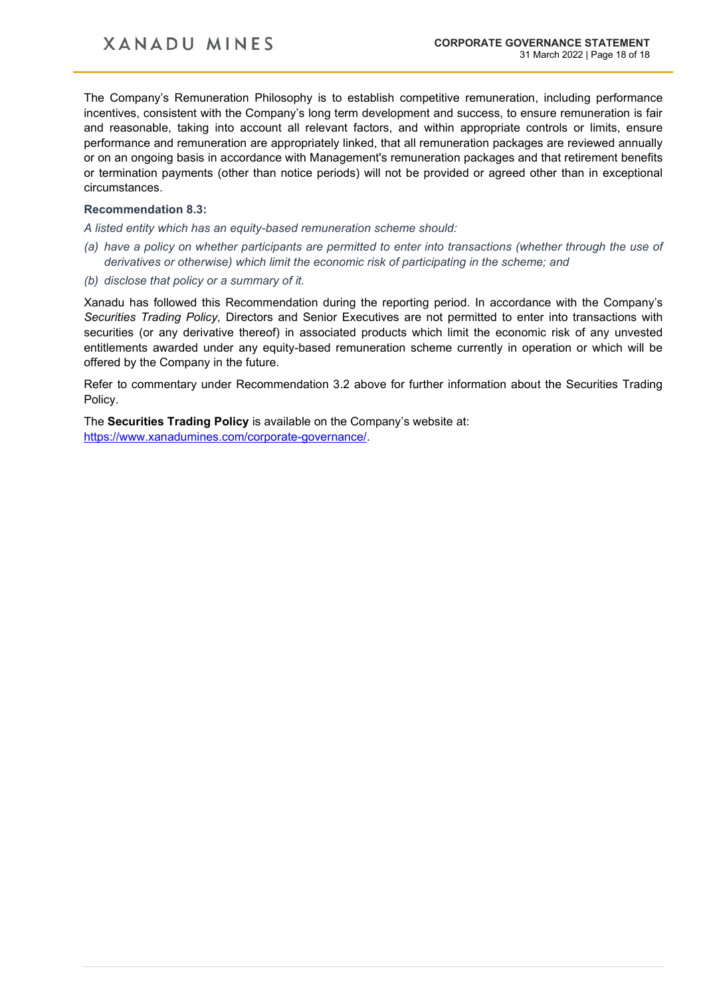The Company's Remuneration Philosophy is to establish competitive remuneration, including performance incentives, consistent with the Company's long term development and success, to ensure remuneration is fair and reasonable, taking into account all relevant factors, and within appropriate controls or limits, ensure performance and remuneration are appropriately linked, that all remuneration packages are reviewed annually or on an ongoing basis in accordance with Management's remuneration packages and that retirement benefits or termination payments (other than notice periods) will not be provided or agreed other than in exceptional circumstances.

#### **Recommendation 8.3:**

*A listed entity which has an equity-based remuneration scheme should:*

- *(a) have a policy on whether participants are permitted to enter into transactions (whether through the use of derivatives or otherwise) which limit the economic risk of participating in the scheme; and*
- *(b) disclose that policy or a summary of it.*

Xanadu has followed this Recommendation during the reporting period. In accordance with the Company's *Securities Trading Policy,* Directors and Senior Executives are not permitted to enter into transactions with securities (or any derivative thereof) in associated products which limit the economic risk of any unvested entitlements awarded under any equity-based remuneration scheme currently in operation or which will be offered by the Company in the future.

Refer to commentary under Recommendation 3.2 above for further information about the Securities Trading Policy.

The **Securities Trading Policy** is available on the Company's website at: [https://www.xanadumines.com/corporate-governance/.](https://www.xanadumines.com/corporate-governance/)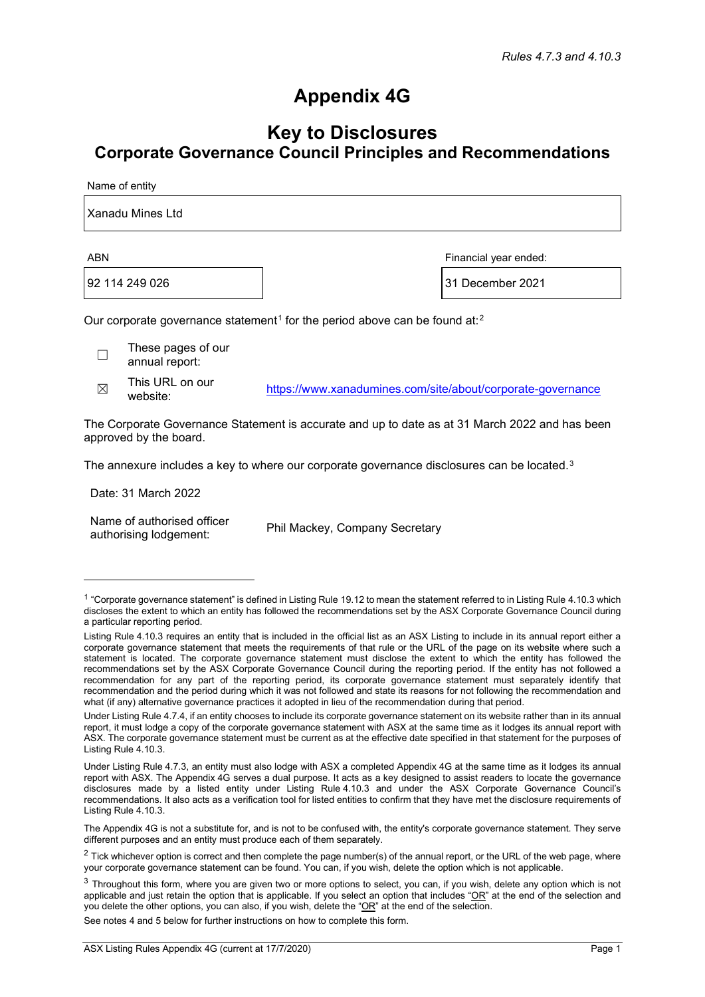# **Appendix 4G**

## **Key to Disclosures Corporate Governance Council Principles and Recommendations**

Name of entity

| Xanadu Mines Ltd |                       |
|------------------|-----------------------|
| <b>ABN</b>       | Financial year ended: |
|                  |                       |

92 114 249 026 31 December 2021

Our corporate governance statement<sup>[1](#page-18-0)</sup> for the period above can be found at:<sup>[2](#page-18-1)</sup>

☐ These pages of our annual report:

 $\boxtimes$  This URL on our<br>website:

<https://www.xanadumines.com/site/about/corporate-governance>

The Corporate Governance Statement is accurate and up to date as at 31 March 2022 and has been approved by the board.

The annexure includes a key to where our corporate governance disclosures can be located.<sup>[3](#page-18-2)</sup>

Date: 31 March 2022

Name of authorised officer authorising lodgement: Phil Mackey, Company Secretary

See notes 4 and 5 below for further instructions on how to complete this form.

<span id="page-18-0"></span> $1$  "Corporate governance statement" is defined in Listing Rule 19.12 to mean the statement referred to in Listing Rule 4.10.3 which discloses the extent to which an entity has followed the recommendations set by the ASX Corporate Governance Council during a particular reporting period.

Listing Rule 4.10.3 requires an entity that is included in the official list as an ASX Listing to include in its annual report either a corporate governance statement that meets the requirements of that rule or the URL of the page on its website where such a statement is located. The corporate governance statement must disclose the extent to which the entity has followed the recommendations set by the ASX Corporate Governance Council during the reporting period. If the entity has not followed a recommendation for any part of the reporting period, its corporate governance statement must separately identify that recommendation and the period during which it was not followed and state its reasons for not following the recommendation and what (if any) alternative governance practices it adopted in lieu of the recommendation during that period.

Under Listing Rule 4.7.4, if an entity chooses to include its corporate governance statement on its website rather than in its annual report, it must lodge a copy of the corporate governance statement with ASX at the same time as it lodges its annual report with ASX. The corporate governance statement must be current as at the effective date specified in that statement for the purposes of Listing Rule 4.10.3.

Under Listing Rule 4.7.3, an entity must also lodge with ASX a completed Appendix 4G at the same time as it lodges its annual report with ASX. The Appendix 4G serves a dual purpose. It acts as a key designed to assist readers to locate the governance disclosures made by a listed entity under Listing Rule 4.10.3 and under the ASX Corporate Governance Council's recommendations. It also acts as a verification tool for listed entities to confirm that they have met the disclosure requirements of Listing Rule 4.10.3.

The Appendix 4G is not a substitute for, and is not to be confused with, the entity's corporate governance statement. They serve different purposes and an entity must produce each of them separately.

<span id="page-18-1"></span> $2$  Tick whichever option is correct and then complete the page number(s) of the annual report, or the URL of the web page, where your corporate governance statement can be found. You can, if you wish, delete the option which is not applicable.

<span id="page-18-2"></span> $3$  Throughout this form, where you are given two or more options to select, you can, if you wish, delete any option which is not applicable and just retain the option that is applicable. If you select an option that includes " $OR$ " at the end of the selection and you delete the other options, you can also, if you wish, delete the "OR" at the end of the selection.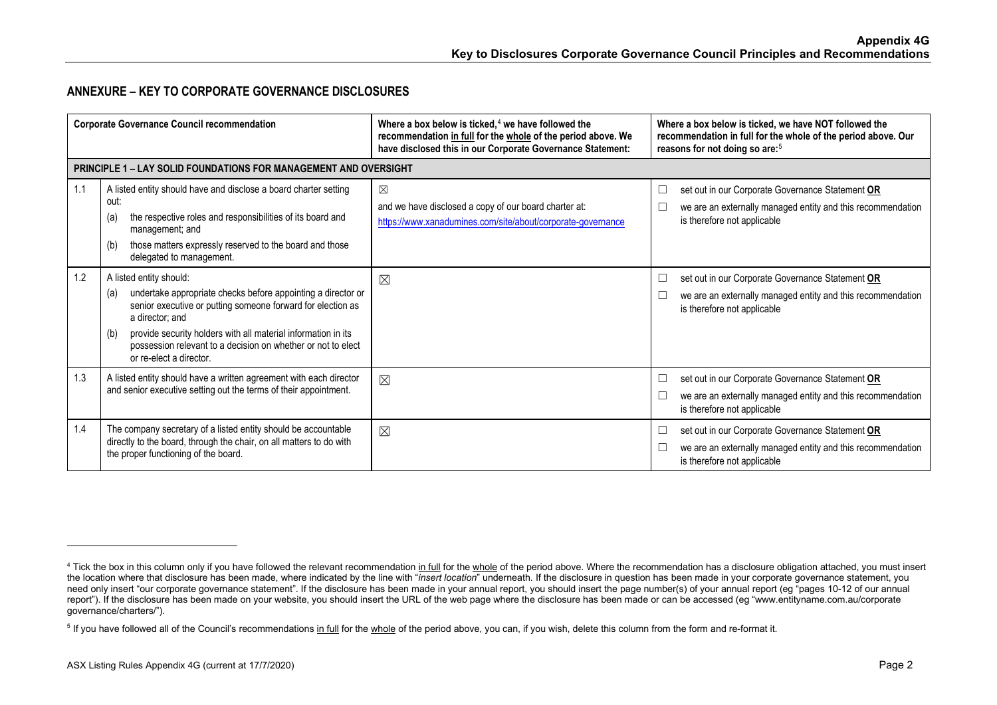## <span id="page-19-1"></span><span id="page-19-0"></span>**ANNEXURE – KEY TO CORPORATE GOVERNANCE DISCLOSURES**

|     | <b>Corporate Governance Council recommendation</b>                                                                                                                                                                                                                                                                                                  | Where a box below is ticked, $4$ we have followed the<br>recommendation in full for the whole of the period above. We<br>have disclosed this in our Corporate Governance Statement: | Where a box below is ticked, we have NOT followed the<br>recommendation in full for the whole of the period above. Our<br>reasons for not doing so are: <sup>5</sup> |
|-----|-----------------------------------------------------------------------------------------------------------------------------------------------------------------------------------------------------------------------------------------------------------------------------------------------------------------------------------------------------|-------------------------------------------------------------------------------------------------------------------------------------------------------------------------------------|----------------------------------------------------------------------------------------------------------------------------------------------------------------------|
|     | <b>PRINCIPLE 1 – LAY SOLID FOUNDATIONS FOR MANAGEMENT AND OVERSIGHT</b>                                                                                                                                                                                                                                                                             |                                                                                                                                                                                     |                                                                                                                                                                      |
| 1.1 | A listed entity should have and disclose a board charter setting<br>out:<br>the respective roles and responsibilities of its board and<br>(a)<br>management; and<br>those matters expressly reserved to the board and those<br>(b)<br>delegated to management.                                                                                      | $\boxtimes$<br>and we have disclosed a copy of our board charter at:<br>https://www.xanadumines.com/site/about/corporate-governance                                                 | set out in our Corporate Governance Statement OR<br>⊏<br>we are an externally managed entity and this recommendation<br>is therefore not applicable                  |
| 1.2 | A listed entity should:<br>undertake appropriate checks before appointing a director or<br>(a)<br>senior executive or putting someone forward for election as<br>a director; and<br>provide security holders with all material information in its<br>(b)<br>possession relevant to a decision on whether or not to elect<br>or re-elect a director. | ⊠                                                                                                                                                                                   | set out in our Corporate Governance Statement OR<br>□<br>we are an externally managed entity and this recommendation<br>is therefore not applicable                  |
| 1.3 | A listed entity should have a written agreement with each director<br>and senior executive setting out the terms of their appointment.                                                                                                                                                                                                              | $\boxtimes$                                                                                                                                                                         | set out in our Corporate Governance Statement OR<br>⊔<br>we are an externally managed entity and this recommendation<br>is therefore not applicable                  |
| 1.4 | The company secretary of a listed entity should be accountable<br>directly to the board, through the chair, on all matters to do with<br>the proper functioning of the board.                                                                                                                                                                       | $\boxtimes$                                                                                                                                                                         | set out in our Corporate Governance Statement OR<br>we are an externally managed entity and this recommendation<br>is therefore not applicable                       |

<sup>&</sup>lt;sup>4</sup> Tick the box in this column only if you have followed the relevant recommendation in full for the whole of the period above. Where the recommendation has a disclosure obligation attached, you must insert the location where that disclosure has been made, where indicated by the line with "*insert location*" underneath. If the disclosure in question has been made in your corporate governance statement, you need only insert "our corporate governance statement". If the disclosure has been made in your annual report, you should insert the page number(s) of your annual report (eg "pages 10-12 of our annual report"). If the disclosure has been made on your website, you should insert the URL of the web page where the disclosure has been made or can be accessed (eg "www.entityname.com.au/corporate governance/charters/").

<sup>&</sup>lt;sup>5</sup> If you have followed all of the Council's recommendations in full for the whole of the period above, you can, if you wish, delete this column from the form and re-format it.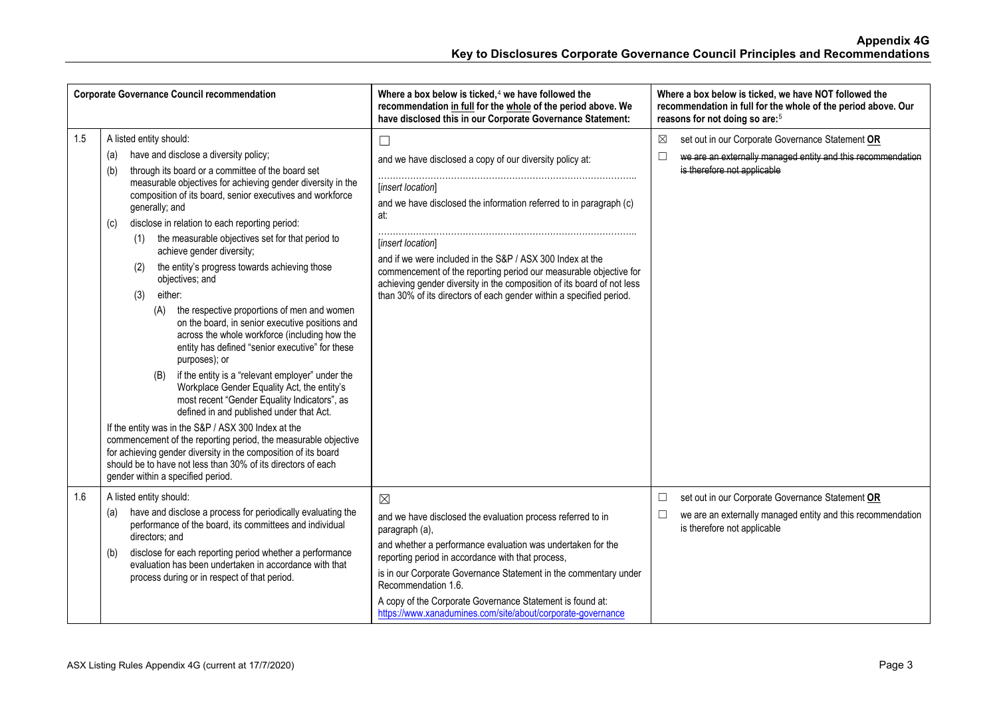|     | <b>Corporate Governance Council recommendation</b>                                                                                                                                                                                                                                                                                                                                                                                                                                                                                                                                                                                                                                                                                                                                                                                                                                                                                                                                                                                                                                                                                                                                                                                                                  | Where a box below is ticked, $4$ we have followed the<br>recommendation in full for the whole of the period above. We<br>have disclosed this in our Corporate Governance Statement:                                                                                                                                                                                                                                                                                          | Where a box below is ticked, we have NOT followed the<br>recommendation in full for the whole of the period above. Our<br>reasons for not doing so are: <sup>5</sup> |
|-----|---------------------------------------------------------------------------------------------------------------------------------------------------------------------------------------------------------------------------------------------------------------------------------------------------------------------------------------------------------------------------------------------------------------------------------------------------------------------------------------------------------------------------------------------------------------------------------------------------------------------------------------------------------------------------------------------------------------------------------------------------------------------------------------------------------------------------------------------------------------------------------------------------------------------------------------------------------------------------------------------------------------------------------------------------------------------------------------------------------------------------------------------------------------------------------------------------------------------------------------------------------------------|------------------------------------------------------------------------------------------------------------------------------------------------------------------------------------------------------------------------------------------------------------------------------------------------------------------------------------------------------------------------------------------------------------------------------------------------------------------------------|----------------------------------------------------------------------------------------------------------------------------------------------------------------------|
| 1.5 | A listed entity should:<br>have and disclose a diversity policy;<br>(a)<br>through its board or a committee of the board set<br>(b)<br>measurable objectives for achieving gender diversity in the<br>composition of its board, senior executives and workforce<br>generally; and<br>disclose in relation to each reporting period:<br>(c)<br>the measurable objectives set for that period to<br>(1)<br>achieve gender diversity;<br>the entity's progress towards achieving those<br>(2)<br>objectives; and<br>either:<br>(3)<br>the respective proportions of men and women<br>(A)<br>on the board, in senior executive positions and<br>across the whole workforce (including how the<br>entity has defined "senior executive" for these<br>purposes); or<br>if the entity is a "relevant employer" under the<br>(B)<br>Workplace Gender Equality Act, the entity's<br>most recent "Gender Equality Indicators", as<br>defined in and published under that Act.<br>If the entity was in the S&P / ASX 300 Index at the<br>commencement of the reporting period, the measurable objective<br>for achieving gender diversity in the composition of its board<br>should be to have not less than 30% of its directors of each<br>gender within a specified period. | $\Box$<br>and we have disclosed a copy of our diversity policy at:<br>[insert location]<br>and we have disclosed the information referred to in paragraph (c)<br>at:<br>[insert location]<br>and if we were included in the S&P / ASX 300 Index at the<br>commencement of the reporting period our measurable objective for<br>achieving gender diversity in the composition of its board of not less<br>than 30% of its directors of each gender within a specified period. | set out in our Corporate Governance Statement OR<br>⊠<br>П<br>we are an externally managed entity and this recommendation<br>is therefore not applicable             |
| 1.6 | A listed entity should:<br>have and disclose a process for periodically evaluating the<br>(a)<br>performance of the board, its committees and individual<br>directors; and<br>disclose for each reporting period whether a performance<br>(b)<br>evaluation has been undertaken in accordance with that<br>process during or in respect of that period.                                                                                                                                                                                                                                                                                                                                                                                                                                                                                                                                                                                                                                                                                                                                                                                                                                                                                                             | $\boxtimes$<br>and we have disclosed the evaluation process referred to in<br>paragraph (a),<br>and whether a performance evaluation was undertaken for the<br>reporting period in accordance with that process,<br>is in our Corporate Governance Statement in the commentary under<br>Recommendation 1.6.<br>A copy of the Corporate Governance Statement is found at:<br>https://www.xanadumines.com/site/about/corporate-governance                                      | set out in our Corporate Governance Statement OR<br>$\Box$<br>we are an externally managed entity and this recommendation<br>$\Box$<br>is therefore not applicable   |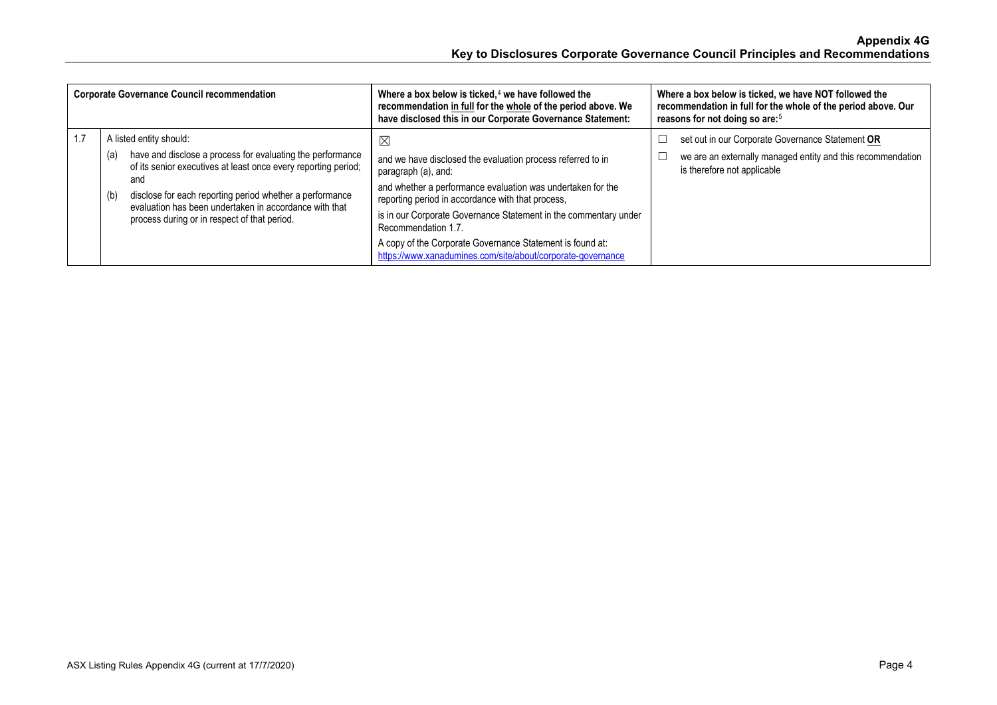| <b>Corporate Governance Council recommendation</b>                                                                                                                                                                                                                      | Where a box below is ticked, $4$ we have followed the<br>recommendation in full for the whole of the period above. We<br>have disclosed this in our Corporate Governance Statement:                    | Where a box below is ticked, we have NOT followed the<br>recommendation in full for the whole of the period above. Our<br>reasons for not doing so are: <sup>5</sup> |
|-------------------------------------------------------------------------------------------------------------------------------------------------------------------------------------------------------------------------------------------------------------------------|--------------------------------------------------------------------------------------------------------------------------------------------------------------------------------------------------------|----------------------------------------------------------------------------------------------------------------------------------------------------------------------|
| A listed entity should:                                                                                                                                                                                                                                                 | $\boxtimes$                                                                                                                                                                                            | set out in our Corporate Governance Statement OR                                                                                                                     |
| have and disclose a process for evaluating the performance<br>(a)<br>of its senior executives at least once every reporting period;<br>and<br>disclose for each reporting period whether a performance<br>(b)<br>evaluation has been undertaken in accordance with that | and we have disclosed the evaluation process referred to in<br>paragraph (a), and:<br>and whether a performance evaluation was undertaken for the<br>reporting period in accordance with that process, | we are an externally managed entity and this recommendation<br>is therefore not applicable                                                                           |
| process during or in respect of that period.                                                                                                                                                                                                                            | is in our Corporate Governance Statement in the commentary under<br>Recommendation 1.7.                                                                                                                |                                                                                                                                                                      |
|                                                                                                                                                                                                                                                                         | A copy of the Corporate Governance Statement is found at:<br>https://www.xanadumines.com/site/about/corporate-governance                                                                               |                                                                                                                                                                      |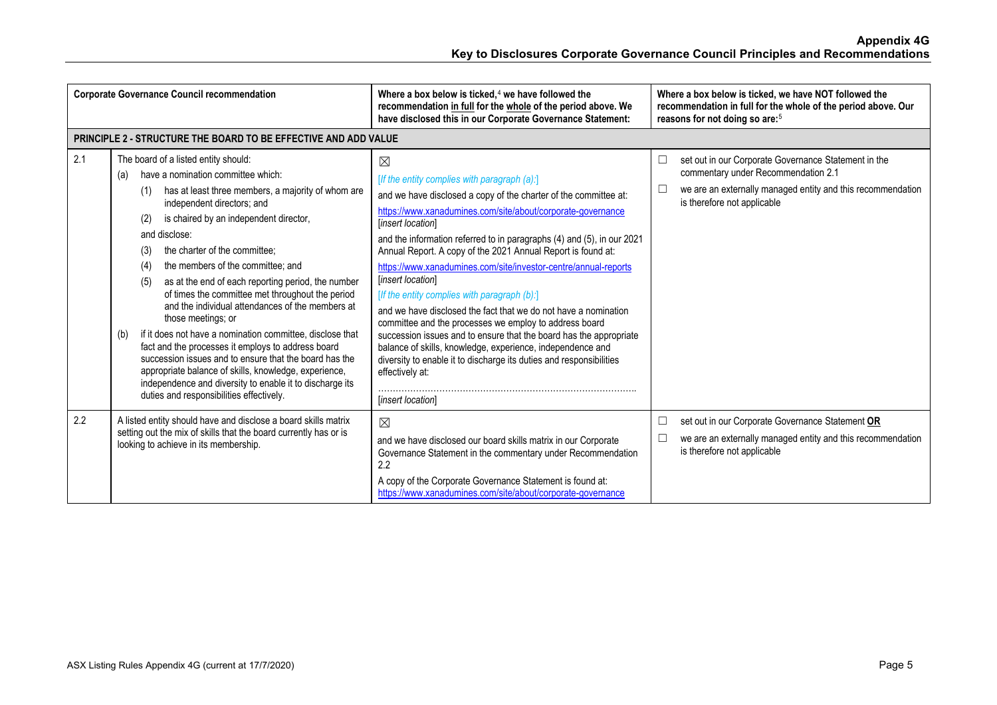|     | <b>Corporate Governance Council recommendation</b>                                                                                                                                                                                                                                                                                                                                                                                                                                                                                                                                                                                                                                                                                                                                                                                                                                 | Where a box below is ticked, $4$ we have followed the<br>recommendation in full for the whole of the period above. We<br>have disclosed this in our Corporate Governance Statement:                                                                                                                                                                                                                                                                                                                                                                                                                                                                                                                                                                                                                                                                                                   | Where a box below is ticked, we have NOT followed the<br>recommendation in full for the whole of the period above. Our<br>reasons for not doing so are: <sup>5</sup>                                |
|-----|------------------------------------------------------------------------------------------------------------------------------------------------------------------------------------------------------------------------------------------------------------------------------------------------------------------------------------------------------------------------------------------------------------------------------------------------------------------------------------------------------------------------------------------------------------------------------------------------------------------------------------------------------------------------------------------------------------------------------------------------------------------------------------------------------------------------------------------------------------------------------------|---------------------------------------------------------------------------------------------------------------------------------------------------------------------------------------------------------------------------------------------------------------------------------------------------------------------------------------------------------------------------------------------------------------------------------------------------------------------------------------------------------------------------------------------------------------------------------------------------------------------------------------------------------------------------------------------------------------------------------------------------------------------------------------------------------------------------------------------------------------------------------------|-----------------------------------------------------------------------------------------------------------------------------------------------------------------------------------------------------|
|     | <b>PRINCIPLE 2 - STRUCTURE THE BOARD TO BE EFFECTIVE AND ADD VALUE</b>                                                                                                                                                                                                                                                                                                                                                                                                                                                                                                                                                                                                                                                                                                                                                                                                             |                                                                                                                                                                                                                                                                                                                                                                                                                                                                                                                                                                                                                                                                                                                                                                                                                                                                                       |                                                                                                                                                                                                     |
| 2.1 | The board of a listed entity should:<br>have a nomination committee which:<br>(a)<br>has at least three members, a majority of whom are<br>(1)<br>independent directors; and<br>is chaired by an independent director,<br>(2)<br>and disclose:<br>the charter of the committee:<br>(3)<br>the members of the committee; and<br>(4)<br>as at the end of each reporting period, the number<br>(5)<br>of times the committee met throughout the period<br>and the individual attendances of the members at<br>those meetings; or<br>if it does not have a nomination committee, disclose that<br>(b)<br>fact and the processes it employs to address board<br>succession issues and to ensure that the board has the<br>appropriate balance of skills, knowledge, experience,<br>independence and diversity to enable it to discharge its<br>duties and responsibilities effectively. | $\boxtimes$<br>[If the entity complies with paragraph (a):]<br>and we have disclosed a copy of the charter of the committee at:<br>https://www.xanadumines.com/site/about/corporate-governance<br>[insert location]<br>and the information referred to in paragraphs (4) and (5), in our 2021<br>Annual Report. A copy of the 2021 Annual Report is found at:<br>https://www.xanadumines.com/site/investor-centre/annual-reports<br>[insert location]<br>[If the entity complies with paragraph (b):]<br>and we have disclosed the fact that we do not have a nomination<br>committee and the processes we employ to address board<br>succession issues and to ensure that the board has the appropriate<br>balance of skills, knowledge, experience, independence and<br>diversity to enable it to discharge its duties and responsibilities<br>effectively at:<br>[insert location] | set out in our Corporate Governance Statement in the<br>□<br>commentary under Recommendation 2.1<br>we are an externally managed entity and this recommendation<br>□<br>is therefore not applicable |
| 2.2 | A listed entity should have and disclose a board skills matrix<br>setting out the mix of skills that the board currently has or is<br>looking to achieve in its membership.                                                                                                                                                                                                                                                                                                                                                                                                                                                                                                                                                                                                                                                                                                        | ⊠<br>and we have disclosed our board skills matrix in our Corporate<br>Governance Statement in the commentary under Recommendation<br>2.2<br>A copy of the Corporate Governance Statement is found at:<br>https://www.xanadumines.com/site/about/corporate-governance                                                                                                                                                                                                                                                                                                                                                                                                                                                                                                                                                                                                                 | $\Box$<br>set out in our Corporate Governance Statement OR<br>we are an externally managed entity and this recommendation<br>⊏<br>is therefore not applicable                                       |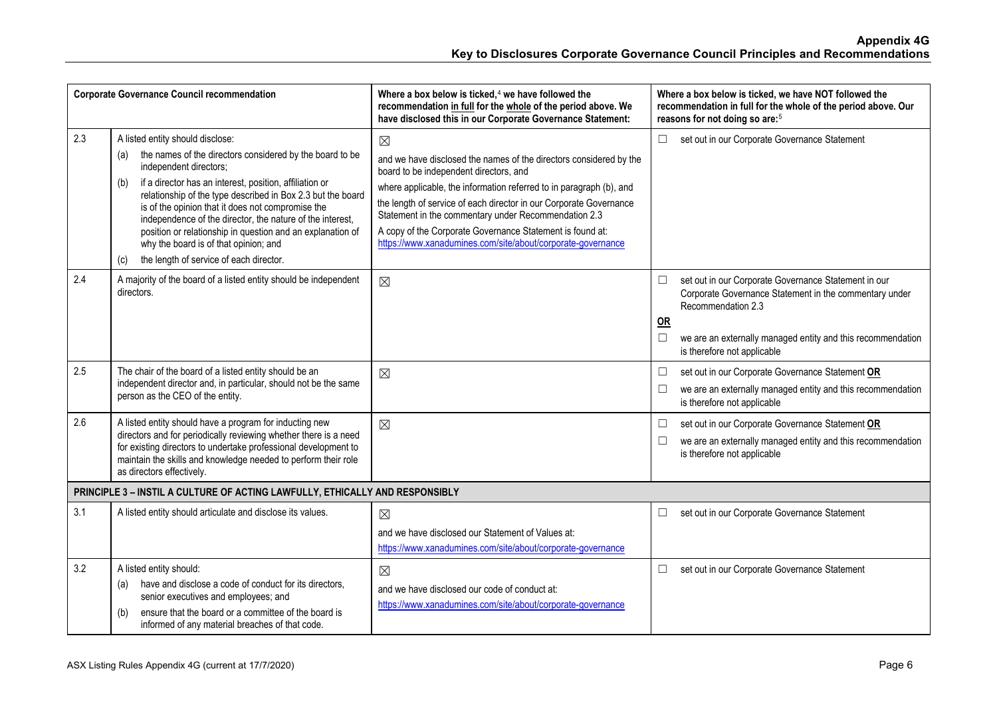|     | <b>Corporate Governance Council recommendation</b>                                                                                                                                                                                                                                                                                                                                                                                                                                                                                        | Where a box below is ticked, <sup>4</sup> we have followed the<br>recommendation in full for the whole of the period above. We<br>have disclosed this in our Corporate Governance Statement:                                                                                                                                                                                                                                                                 | Where a box below is ticked, we have NOT followed the<br>recommendation in full for the whole of the period above. Our<br>reasons for not doing so are: <sup>5</sup>                                                                                                |
|-----|-------------------------------------------------------------------------------------------------------------------------------------------------------------------------------------------------------------------------------------------------------------------------------------------------------------------------------------------------------------------------------------------------------------------------------------------------------------------------------------------------------------------------------------------|--------------------------------------------------------------------------------------------------------------------------------------------------------------------------------------------------------------------------------------------------------------------------------------------------------------------------------------------------------------------------------------------------------------------------------------------------------------|---------------------------------------------------------------------------------------------------------------------------------------------------------------------------------------------------------------------------------------------------------------------|
| 2.3 | A listed entity should disclose:<br>the names of the directors considered by the board to be<br>(a)<br>independent directors;<br>if a director has an interest, position, affiliation or<br>(b)<br>relationship of the type described in Box 2.3 but the board<br>is of the opinion that it does not compromise the<br>independence of the director, the nature of the interest,<br>position or relationship in question and an explanation of<br>why the board is of that opinion; and<br>the length of service of each director.<br>(c) | $\boxtimes$<br>and we have disclosed the names of the directors considered by the<br>board to be independent directors, and<br>where applicable, the information referred to in paragraph (b), and<br>the length of service of each director in our Corporate Governance<br>Statement in the commentary under Recommendation 2.3<br>A copy of the Corporate Governance Statement is found at:<br>https://www.xanadumines.com/site/about/corporate-governance | set out in our Corporate Governance Statement<br>$\Box$                                                                                                                                                                                                             |
| 2.4 | A majority of the board of a listed entity should be independent<br>directors.                                                                                                                                                                                                                                                                                                                                                                                                                                                            | $\boxtimes$                                                                                                                                                                                                                                                                                                                                                                                                                                                  | set out in our Corporate Governance Statement in our<br>$\Box$<br>Corporate Governance Statement in the commentary under<br>Recommendation 2.3<br><b>OR</b><br>we are an externally managed entity and this recommendation<br>$\Box$<br>is therefore not applicable |
| 2.5 | The chair of the board of a listed entity should be an<br>independent director and, in particular, should not be the same<br>person as the CEO of the entity.                                                                                                                                                                                                                                                                                                                                                                             | $\boxtimes$                                                                                                                                                                                                                                                                                                                                                                                                                                                  | set out in our Corporate Governance Statement OR<br>$\Box$<br>we are an externally managed entity and this recommendation<br>$\Box$<br>is therefore not applicable                                                                                                  |
| 2.6 | A listed entity should have a program for inducting new<br>directors and for periodically reviewing whether there is a need<br>for existing directors to undertake professional development to<br>maintain the skills and knowledge needed to perform their role<br>as directors effectively.                                                                                                                                                                                                                                             | $\boxtimes$                                                                                                                                                                                                                                                                                                                                                                                                                                                  | set out in our Corporate Governance Statement OR<br>$\Box$<br>we are an externally managed entity and this recommendation<br>$\Box$<br>is therefore not applicable                                                                                                  |
|     | PRINCIPLE 3 - INSTIL A CULTURE OF ACTING LAWFULLY, ETHICALLY AND RESPONSIBLY                                                                                                                                                                                                                                                                                                                                                                                                                                                              |                                                                                                                                                                                                                                                                                                                                                                                                                                                              |                                                                                                                                                                                                                                                                     |
| 3.1 | A listed entity should articulate and disclose its values.                                                                                                                                                                                                                                                                                                                                                                                                                                                                                | $\boxtimes$<br>and we have disclosed our Statement of Values at:<br>https://www.xanadumines.com/site/about/corporate-governance                                                                                                                                                                                                                                                                                                                              | set out in our Corporate Governance Statement<br>$\Box$                                                                                                                                                                                                             |
| 3.2 | A listed entity should:<br>have and disclose a code of conduct for its directors,<br>(a)<br>senior executives and employees; and<br>ensure that the board or a committee of the board is<br>(b)<br>informed of any material breaches of that code.                                                                                                                                                                                                                                                                                        | $\boxtimes$<br>and we have disclosed our code of conduct at:<br>https://www.xanadumines.com/site/about/corporate-governance                                                                                                                                                                                                                                                                                                                                  | set out in our Corporate Governance Statement<br>$\Box$                                                                                                                                                                                                             |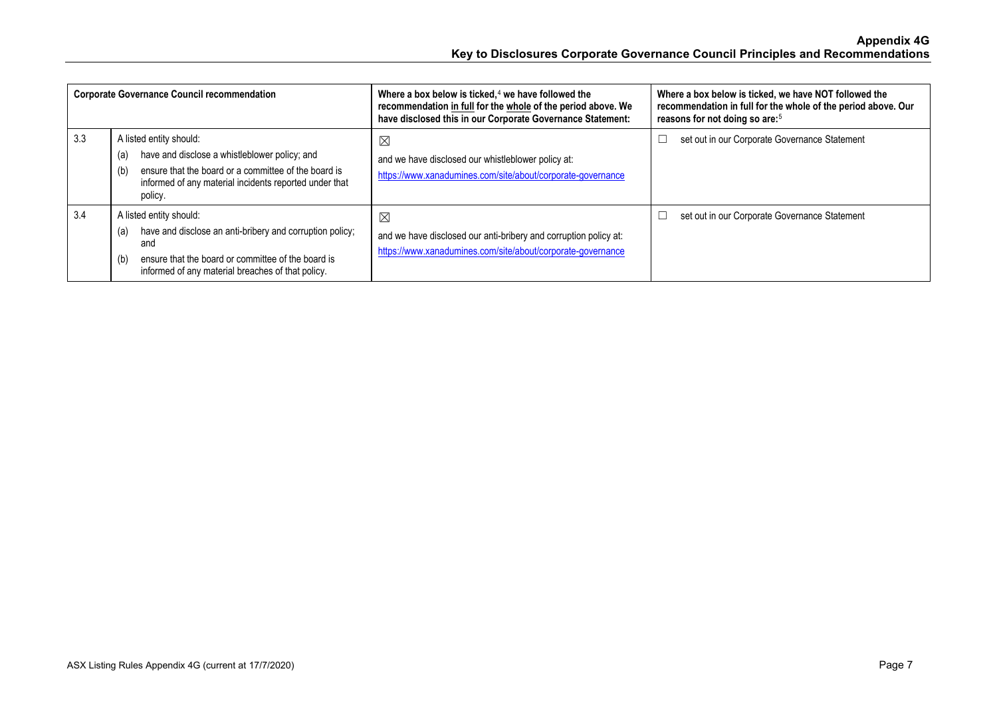|     | <b>Corporate Governance Council recommendation</b>                                                                                                                                                                  | Where a box below is ticked, $4$ we have followed the<br>recommendation in full for the whole of the period above. We<br>have disclosed this in our Corporate Governance Statement: | Where a box below is ticked, we have NOT followed the<br>recommendation in full for the whole of the period above. Our<br>reasons for not doing so are: <sup>5</sup> |
|-----|---------------------------------------------------------------------------------------------------------------------------------------------------------------------------------------------------------------------|-------------------------------------------------------------------------------------------------------------------------------------------------------------------------------------|----------------------------------------------------------------------------------------------------------------------------------------------------------------------|
| 3.3 | A listed entity should:<br>have and disclose a whistleblower policy; and<br>(a)<br>ensure that the board or a committee of the board is<br>(b)<br>informed of any material incidents reported under that<br>policy. | $\boxtimes$<br>and we have disclosed our whistleblower policy at:<br>https://www.xanadumines.com/site/about/corporate-governance                                                    | set out in our Corporate Governance Statement                                                                                                                        |
| 3.4 | A listed entity should:<br>have and disclose an anti-bribery and corruption policy;<br>(a)<br>and<br>ensure that the board or committee of the board is<br>(b)<br>informed of any material breaches of that policy. | $\boxtimes$<br>and we have disclosed our anti-bribery and corruption policy at:<br>https://www.xanadumines.com/site/about/corporate-governance                                      | set out in our Corporate Governance Statement                                                                                                                        |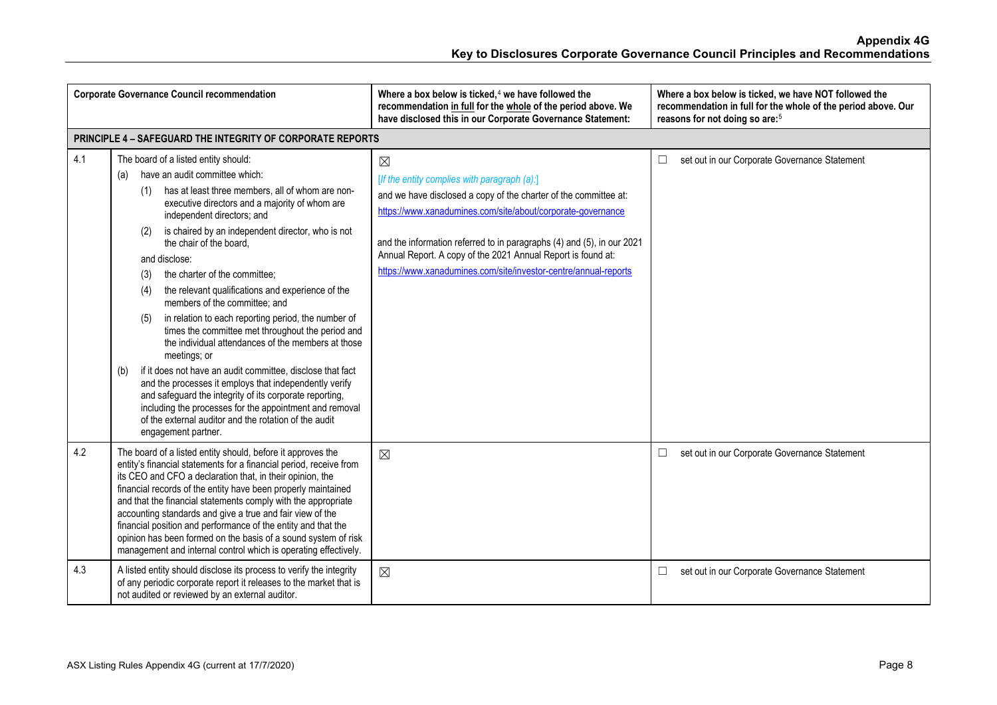|     | <b>Corporate Governance Council recommendation</b>                                                                                                                                                                                                                                                                                                                                                                                                                                                                                                                                                                                                                                                                                                                                                                                                                                                                                                                                                  | Where a box below is ticked, <sup>4</sup> we have followed the<br>recommendation in full for the whole of the period above. We<br>have disclosed this in our Corporate Governance Statement:                                                                                                                                                                                                                | Where a box below is ticked, we have NOT followed the<br>recommendation in full for the whole of the period above. Our<br>reasons for not doing so are: <sup>5</sup> |
|-----|-----------------------------------------------------------------------------------------------------------------------------------------------------------------------------------------------------------------------------------------------------------------------------------------------------------------------------------------------------------------------------------------------------------------------------------------------------------------------------------------------------------------------------------------------------------------------------------------------------------------------------------------------------------------------------------------------------------------------------------------------------------------------------------------------------------------------------------------------------------------------------------------------------------------------------------------------------------------------------------------------------|-------------------------------------------------------------------------------------------------------------------------------------------------------------------------------------------------------------------------------------------------------------------------------------------------------------------------------------------------------------------------------------------------------------|----------------------------------------------------------------------------------------------------------------------------------------------------------------------|
|     | PRINCIPLE 4 - SAFEGUARD THE INTEGRITY OF CORPORATE REPORTS                                                                                                                                                                                                                                                                                                                                                                                                                                                                                                                                                                                                                                                                                                                                                                                                                                                                                                                                          |                                                                                                                                                                                                                                                                                                                                                                                                             |                                                                                                                                                                      |
| 4.1 | The board of a listed entity should:<br>have an audit committee which:<br>(a)<br>has at least three members, all of whom are non-<br>(1)<br>executive directors and a majority of whom are<br>independent directors; and<br>is chaired by an independent director, who is not<br>(2)<br>the chair of the board.<br>and disclose:<br>the charter of the committee;<br>(3)<br>the relevant qualifications and experience of the<br>(4)<br>members of the committee; and<br>in relation to each reporting period, the number of<br>(5)<br>times the committee met throughout the period and<br>the individual attendances of the members at those<br>meetings; or<br>if it does not have an audit committee, disclose that fact<br>(b)<br>and the processes it employs that independently verify<br>and safeguard the integrity of its corporate reporting,<br>including the processes for the appointment and removal<br>of the external auditor and the rotation of the audit<br>engagement partner. | $\boxtimes$<br>[If the entity complies with paragraph (a):]<br>and we have disclosed a copy of the charter of the committee at:<br>https://www.xanadumines.com/site/about/corporate-governance<br>and the information referred to in paragraphs (4) and (5), in our 2021<br>Annual Report. A copy of the 2021 Annual Report is found at:<br>https://www.xanadumines.com/site/investor-centre/annual-reports | set out in our Corporate Governance Statement<br>□                                                                                                                   |
| 4.2 | The board of a listed entity should, before it approves the<br>entity's financial statements for a financial period, receive from<br>its CEO and CFO a declaration that, in their opinion, the<br>financial records of the entity have been properly maintained<br>and that the financial statements comply with the appropriate<br>accounting standards and give a true and fair view of the<br>financial position and performance of the entity and that the<br>opinion has been formed on the basis of a sound system of risk<br>management and internal control which is operating effectively.                                                                                                                                                                                                                                                                                                                                                                                                 | $\boxtimes$                                                                                                                                                                                                                                                                                                                                                                                                 | set out in our Corporate Governance Statement<br>□                                                                                                                   |
| 4.3 | A listed entity should disclose its process to verify the integrity<br>of any periodic corporate report it releases to the market that is<br>not audited or reviewed by an external auditor.                                                                                                                                                                                                                                                                                                                                                                                                                                                                                                                                                                                                                                                                                                                                                                                                        | $\boxtimes$                                                                                                                                                                                                                                                                                                                                                                                                 | set out in our Corporate Governance Statement<br>□                                                                                                                   |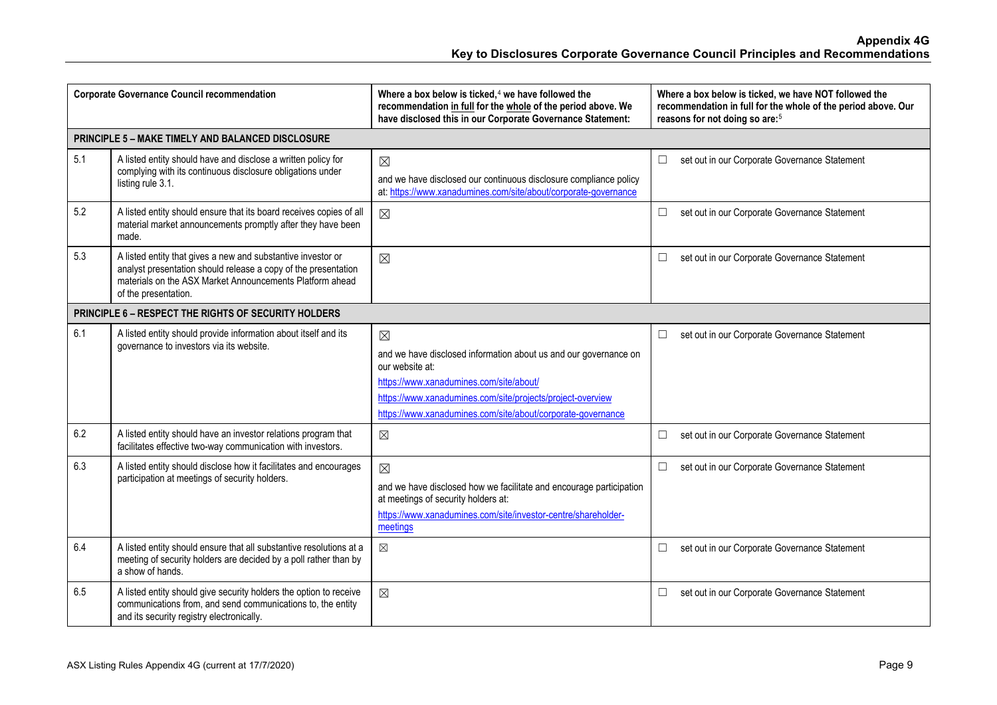|     | <b>Corporate Governance Council recommendation</b>                                                                                                                                                                 | Where a box below is ticked, $4$ we have followed the<br>recommendation in full for the whole of the period above. We<br>have disclosed this in our Corporate Governance Statement:                                                                                        | Where a box below is ticked, we have NOT followed the<br>recommendation in full for the whole of the period above. Our<br>reasons for not doing so are: <sup>5</sup> |
|-----|--------------------------------------------------------------------------------------------------------------------------------------------------------------------------------------------------------------------|----------------------------------------------------------------------------------------------------------------------------------------------------------------------------------------------------------------------------------------------------------------------------|----------------------------------------------------------------------------------------------------------------------------------------------------------------------|
|     | PRINCIPLE 5 - MAKE TIMELY AND BALANCED DISCLOSURE                                                                                                                                                                  |                                                                                                                                                                                                                                                                            |                                                                                                                                                                      |
| 5.1 | A listed entity should have and disclose a written policy for<br>complying with its continuous disclosure obligations under<br>listing rule 3.1.                                                                   | $\boxtimes$<br>and we have disclosed our continuous disclosure compliance policy<br>at: https://www.xanadumines.com/site/about/corporate-governance                                                                                                                        | set out in our Corporate Governance Statement<br>□                                                                                                                   |
| 5.2 | A listed entity should ensure that its board receives copies of all<br>material market announcements promptly after they have been<br>made.                                                                        | $\boxtimes$                                                                                                                                                                                                                                                                | set out in our Corporate Governance Statement<br>$\Box$                                                                                                              |
| 5.3 | A listed entity that gives a new and substantive investor or<br>analyst presentation should release a copy of the presentation<br>materials on the ASX Market Announcements Platform ahead<br>of the presentation. | $\boxtimes$                                                                                                                                                                                                                                                                | set out in our Corporate Governance Statement<br>$\Box$                                                                                                              |
|     | <b>PRINCIPLE 6 - RESPECT THE RIGHTS OF SECURITY HOLDERS</b>                                                                                                                                                        |                                                                                                                                                                                                                                                                            |                                                                                                                                                                      |
| 6.1 | A listed entity should provide information about itself and its<br>governance to investors via its website.                                                                                                        | $\boxtimes$<br>and we have disclosed information about us and our governance on<br>our website at:<br>https://www.xanadumines.com/site/about/<br>https://www.xanadumines.com/site/projects/project-overview<br>https://www.xanadumines.com/site/about/corporate-governance | set out in our Corporate Governance Statement<br>$\Box$                                                                                                              |
| 6.2 | A listed entity should have an investor relations program that<br>facilitates effective two-way communication with investors.                                                                                      | $\boxtimes$                                                                                                                                                                                                                                                                | $\Box$<br>set out in our Corporate Governance Statement                                                                                                              |
| 6.3 | A listed entity should disclose how it facilitates and encourages<br>participation at meetings of security holders.                                                                                                | $\boxtimes$<br>and we have disclosed how we facilitate and encourage participation<br>at meetings of security holders at:<br>https://www.xanadumines.com/site/investor-centre/shareholder-<br>meetings                                                                     | $\Box$<br>set out in our Corporate Governance Statement                                                                                                              |
| 6.4 | A listed entity should ensure that all substantive resolutions at a<br>meeting of security holders are decided by a poll rather than by<br>a show of hands.                                                        | $\boxtimes$                                                                                                                                                                                                                                                                | set out in our Corporate Governance Statement<br>$\Box$                                                                                                              |
| 6.5 | A listed entity should give security holders the option to receive<br>communications from, and send communications to, the entity<br>and its security registry electronically.                                     | $\boxtimes$                                                                                                                                                                                                                                                                | $\Box$<br>set out in our Corporate Governance Statement                                                                                                              |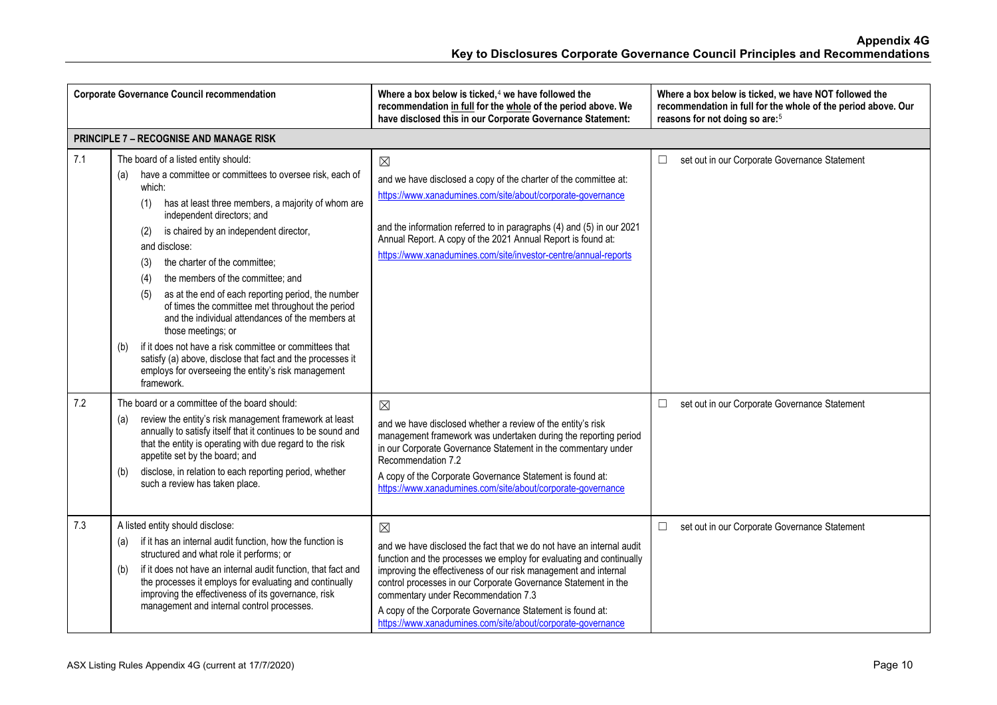|     | <b>Corporate Governance Council recommendation</b>                                                                                                                                                                                                                                                                                                                                                                                                                                                                                                                                                                                                                                                                                                                | Where a box below is ticked, $4$ we have followed the<br>recommendation in full for the whole of the period above. We<br>have disclosed this in our Corporate Governance Statement:                                                                                                                                                                                                                                                                                | Where a box below is ticked, we have NOT followed the<br>recommendation in full for the whole of the period above. Our<br>reasons for not doing so are: <sup>5</sup> |
|-----|-------------------------------------------------------------------------------------------------------------------------------------------------------------------------------------------------------------------------------------------------------------------------------------------------------------------------------------------------------------------------------------------------------------------------------------------------------------------------------------------------------------------------------------------------------------------------------------------------------------------------------------------------------------------------------------------------------------------------------------------------------------------|--------------------------------------------------------------------------------------------------------------------------------------------------------------------------------------------------------------------------------------------------------------------------------------------------------------------------------------------------------------------------------------------------------------------------------------------------------------------|----------------------------------------------------------------------------------------------------------------------------------------------------------------------|
|     | <b>PRINCIPLE 7 - RECOGNISE AND MANAGE RISK</b>                                                                                                                                                                                                                                                                                                                                                                                                                                                                                                                                                                                                                                                                                                                    |                                                                                                                                                                                                                                                                                                                                                                                                                                                                    |                                                                                                                                                                      |
| 7.1 | The board of a listed entity should:<br>have a committee or committees to oversee risk, each of<br>(a)<br>which:<br>has at least three members, a majority of whom are<br>(1)<br>independent directors; and<br>is chaired by an independent director,<br>(2)<br>and disclose:<br>the charter of the committee;<br>(3)<br>the members of the committee; and<br>(4)<br>as at the end of each reporting period, the number<br>(5)<br>of times the committee met throughout the period<br>and the individual attendances of the members at<br>those meetings; or<br>if it does not have a risk committee or committees that<br>(b)<br>satisfy (a) above, disclose that fact and the processes it<br>employs for overseeing the entity's risk management<br>framework. | $\boxtimes$<br>and we have disclosed a copy of the charter of the committee at:<br>https://www.xanadumines.com/site/about/corporate-governance<br>and the information referred to in paragraphs (4) and (5) in our 2021<br>Annual Report. A copy of the 2021 Annual Report is found at:<br>https://www.xanadumines.com/site/investor-centre/annual-reports                                                                                                         | set out in our Corporate Governance Statement<br>$\Box$                                                                                                              |
| 7.2 | The board or a committee of the board should:<br>review the entity's risk management framework at least<br>(a)<br>annually to satisfy itself that it continues to be sound and<br>that the entity is operating with due regard to the risk<br>appetite set by the board; and<br>disclose, in relation to each reporting period, whether<br>(b)<br>such a review has taken place.                                                                                                                                                                                                                                                                                                                                                                                  | $\boxtimes$<br>and we have disclosed whether a review of the entity's risk<br>management framework was undertaken during the reporting period<br>in our Corporate Governance Statement in the commentary under<br>Recommendation 7.2<br>A copy of the Corporate Governance Statement is found at:<br>https://www.xanadumines.com/site/about/corporate-governance                                                                                                   | set out in our Corporate Governance Statement<br>$\Box$                                                                                                              |
| 7.3 | A listed entity should disclose:<br>if it has an internal audit function, how the function is<br>(a)<br>structured and what role it performs; or<br>if it does not have an internal audit function, that fact and<br>(b)<br>the processes it employs for evaluating and continually<br>improving the effectiveness of its governance, risk<br>management and internal control processes.                                                                                                                                                                                                                                                                                                                                                                          | $\boxtimes$<br>and we have disclosed the fact that we do not have an internal audit<br>function and the processes we employ for evaluating and continually<br>improving the effectiveness of our risk management and internal<br>control processes in our Corporate Governance Statement in the<br>commentary under Recommendation 7.3<br>A copy of the Corporate Governance Statement is found at:<br>https://www.xanadumines.com/site/about/corporate-governance | $\Box$<br>set out in our Corporate Governance Statement                                                                                                              |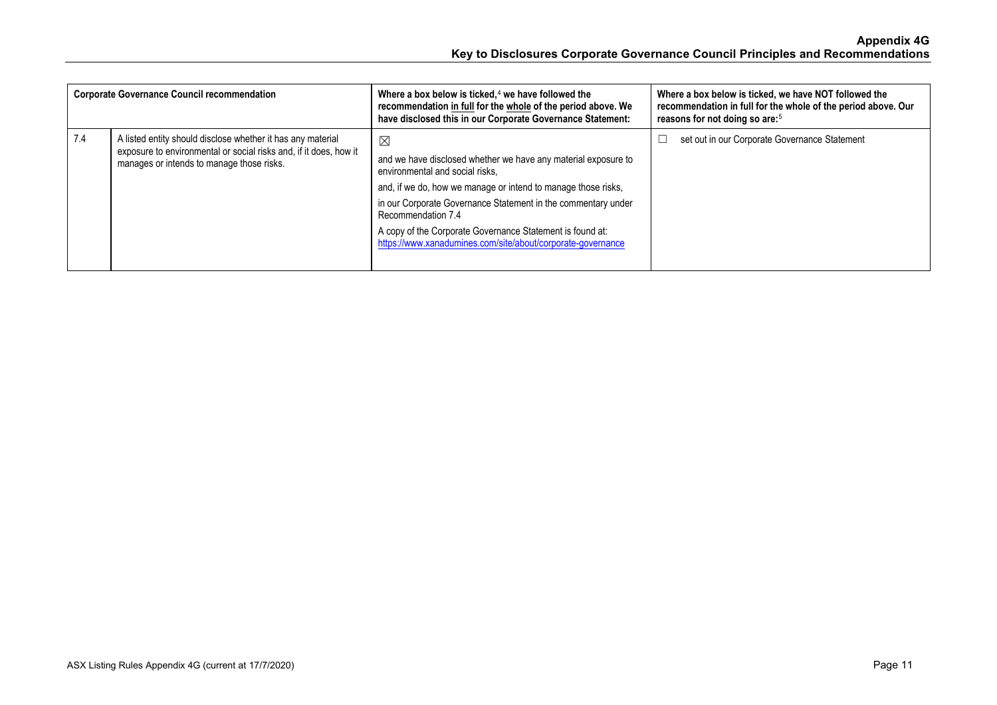| <b>Corporate Governance Council recommendation</b> |                                                                                                                                                                               | Where a box below is ticked, $4$ we have followed the<br>recommendation in full for the whole of the period above. We<br>have disclosed this in our Corporate Governance Statement:                                                                                                                                                                                                                  | Where a box below is ticked, we have NOT followed the<br>recommendation in full for the whole of the period above. Our<br>reasons for not doing so are: <sup>5</sup> |
|----------------------------------------------------|-------------------------------------------------------------------------------------------------------------------------------------------------------------------------------|------------------------------------------------------------------------------------------------------------------------------------------------------------------------------------------------------------------------------------------------------------------------------------------------------------------------------------------------------------------------------------------------------|----------------------------------------------------------------------------------------------------------------------------------------------------------------------|
| 7.4                                                | A listed entity should disclose whether it has any material<br>exposure to environmental or social risks and, if it does, how it<br>manages or intends to manage those risks. | $\boxtimes$<br>and we have disclosed whether we have any material exposure to<br>environmental and social risks.<br>and, if we do, how we manage or intend to manage those risks,<br>in our Corporate Governance Statement in the commentary under<br>Recommendation 7.4<br>A copy of the Corporate Governance Statement is found at:<br>https://www.xanadumines.com/site/about/corporate-governance | set out in our Corporate Governance Statement                                                                                                                        |